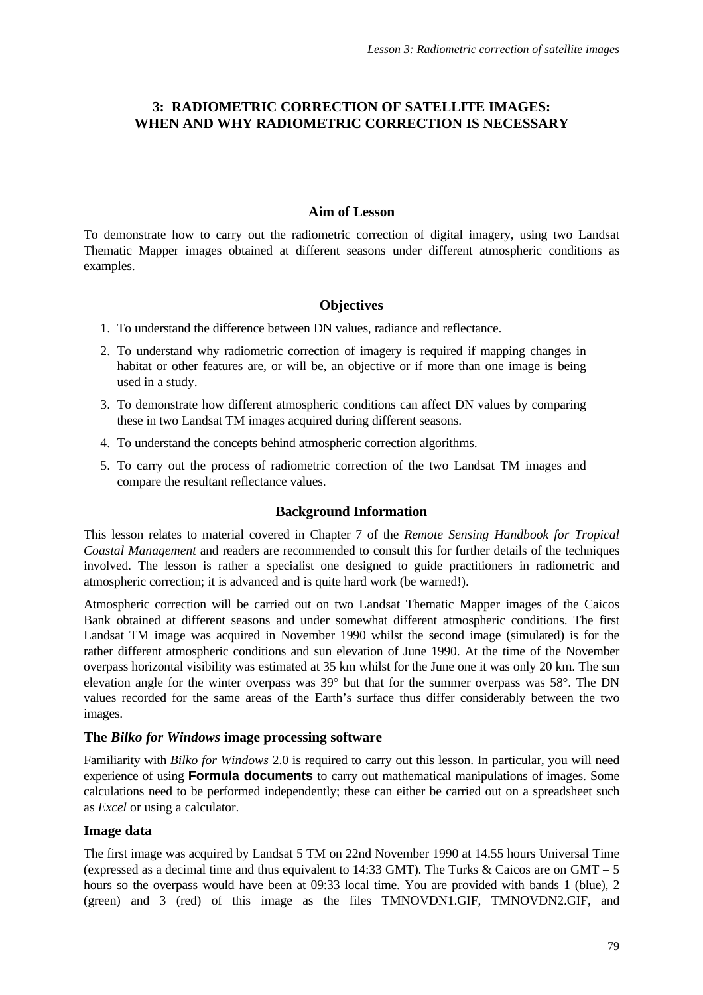# **3: RADIOMETRIC CORRECTION OF SATELLITE IMAGES: WHEN AND WHY RADIOMETRIC CORRECTION IS NECESSARY**

#### **Aim of Lesson**

To demonstrate how to carry out the radiometric correction of digital imagery, using two Landsat Thematic Mapper images obtained at different seasons under different atmospheric conditions as examples.

## **Objectives**

- 1. To understand the difference between DN values, radiance and reflectance.
- 2. To understand why radiometric correction of imagery is required if mapping changes in habitat or other features are, or will be, an objective or if more than one image is being used in a study.
- 3. To demonstrate how different atmospheric conditions can affect DN values by comparing these in two Landsat TM images acquired during different seasons.
- 4. To understand the concepts behind atmospheric correction algorithms.
- 5. To carry out the process of radiometric correction of the two Landsat TM images and compare the resultant reflectance values.

# **Background Information**

This lesson relates to material covered in Chapter 7 of the *Remote Sensing Handbook for Tropical Coastal Management* and readers are recommended to consult this for further details of the techniques involved. The lesson is rather a specialist one designed to guide practitioners in radiometric and atmospheric correction; it is advanced and is quite hard work (be warned!).

Atmospheric correction will be carried out on two Landsat Thematic Mapper images of the Caicos Bank obtained at different seasons and under somewhat different atmospheric conditions. The first Landsat TM image was acquired in November 1990 whilst the second image (simulated) is for the rather different atmospheric conditions and sun elevation of June 1990. At the time of the November overpass horizontal visibility was estimated at 35 km whilst for the June one it was only 20 km. The sun elevation angle for the winter overpass was 39° but that for the summer overpass was 58°. The DN values recorded for the same areas of the Earth's surface thus differ considerably between the two images.

## **The** *Bilko for Windows* **image processing software**

Familiarity with *Bilko for Windows* 2.0 is required to carry out this lesson. In particular, you will need experience of using **Formula documents** to carry out mathematical manipulations of images. Some calculations need to be performed independently; these can either be carried out on a spreadsheet such as *Excel* or using a calculator.

## **Image data**

The first image was acquired by Landsat 5 TM on 22nd November 1990 at 14.55 hours Universal Time (expressed as a decimal time and thus equivalent to 14:33 GMT). The Turks & Caicos are on GMT – 5 hours so the overpass would have been at 09:33 local time. You are provided with bands 1 (blue), 2 (green) and 3 (red) of this image as the files TMNOVDN1.GIF, TMNOVDN2.GIF, and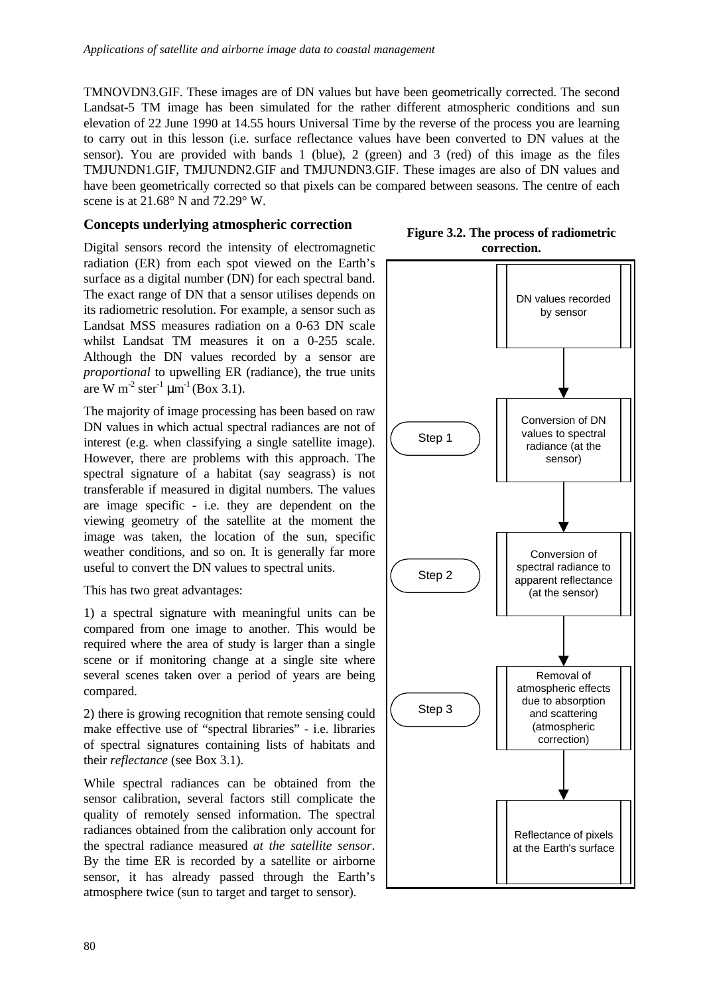TMNOVDN3.GIF. These images are of DN values but have been geometrically corrected. The second Landsat-5 TM image has been simulated for the rather different atmospheric conditions and sun elevation of 22 June 1990 at 14.55 hours Universal Time by the reverse of the process you are learning to carry out in this lesson (i.e. surface reflectance values have been converted to DN values at the sensor). You are provided with bands 1 (blue), 2 (green) and 3 (red) of this image as the files TMJUNDN1.GIF, TMJUNDN2.GIF and TMJUNDN3.GIF. These images are also of DN values and have been geometrically corrected so that pixels can be compared between seasons. The centre of each scene is at 21.68° N and 72.29° W.

## **Concepts underlying atmospheric correction**

Digital sensors record the intensity of electromagnetic radiation (ER) from each spot viewed on the Earth's surface as a digital number (DN) for each spectral band. The exact range of DN that a sensor utilises depends on its radiometric resolution. For example, a sensor such as Landsat MSS measures radiation on a 0-63 DN scale whilst Landsat TM measures it on a 0-255 scale. Although the DN values recorded by a sensor are *proportional* to upwelling ER (radiance), the true units are W m<sup>-2</sup> ster<sup>-1</sup>  $\mu$ m<sup>-1</sup> (Box 3.1).

The majority of image processing has been based on raw DN values in which actual spectral radiances are not of interest (e.g. when classifying a single satellite image). However, there are problems with this approach. The spectral signature of a habitat (say seagrass) is not transferable if measured in digital numbers. The values are image specific - i.e. they are dependent on the viewing geometry of the satellite at the moment the image was taken, the location of the sun, specific weather conditions, and so on. It is generally far more useful to convert the DN values to spectral units.

This has two great advantages:

1) a spectral signature with meaningful units can be compared from one image to another. This would be required where the area of study is larger than a single scene or if monitoring change at a single site where several scenes taken over a period of years are being compared.

2) there is growing recognition that remote sensing could make effective use of "spectral libraries" - i.e. libraries of spectral signatures containing lists of habitats and their *reflectance* (see Box 3.1).

While spectral radiances can be obtained from the sensor calibration, several factors still complicate the quality of remotely sensed information. The spectral radiances obtained from the calibration only account for the spectral radiance measured *at the satellite sensor*. By the time ER is recorded by a satellite or airborne sensor, it has already passed through the Earth's atmosphere twice (sun to target and target to sensor).

**Figure 3.2. The process of radiometric correction.**

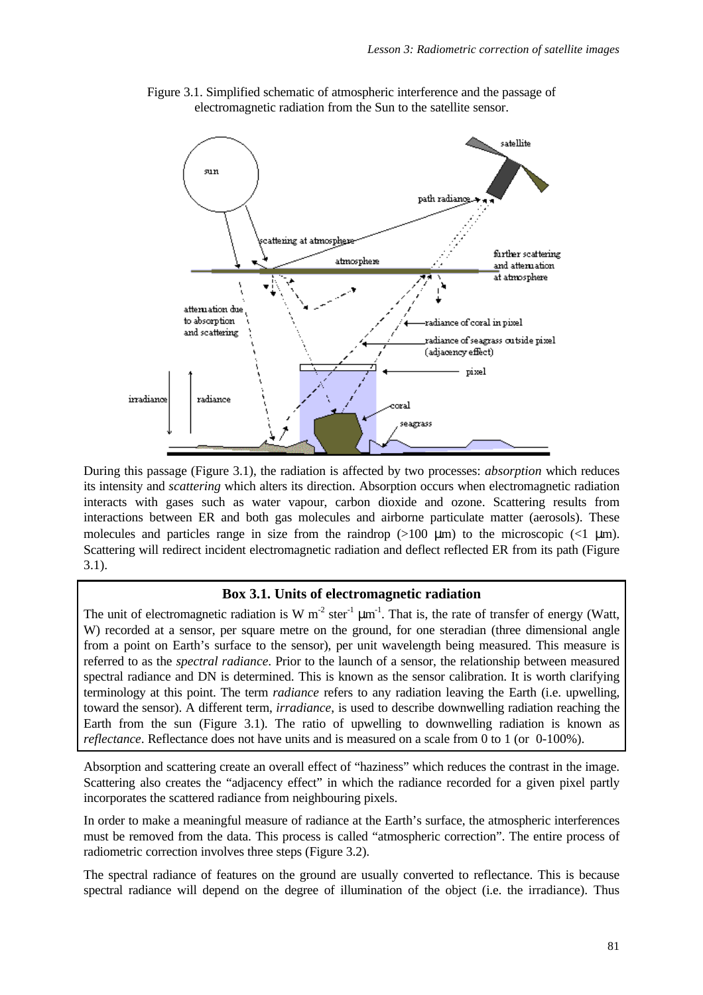

Figure 3.1. Simplified schematic of atmospheric interference and the passage of electromagnetic radiation from the Sun to the satellite sensor.

During this passage (Figure 3.1), the radiation is affected by two processes: *absorption* which reduces its intensity and *scattering* which alters its direction. Absorption occurs when electromagnetic radiation interacts with gases such as water vapour, carbon dioxide and ozone. Scattering results from interactions between ER and both gas molecules and airborne particulate matter (aerosols). These molecules and particles range in size from the raindrop  $(>100 \mu m)$  to the microscopic  $(<1 \mu m)$ . Scattering will redirect incident electromagnetic radiation and deflect reflected ER from its path (Figure 3.1).

## **Box 3.1. Units of electromagnetic radiation**

The unit of electromagnetic radiation is W  $m^{-2}$  ster<sup>-1</sup>  $\mu$ m<sup>-1</sup>. That is, the rate of transfer of energy (Watt, W) recorded at a sensor, per square metre on the ground, for one steradian (three dimensional angle from a point on Earth's surface to the sensor), per unit wavelength being measured. This measure is referred to as the *spectral radiance*. Prior to the launch of a sensor, the relationship between measured spectral radiance and DN is determined. This is known as the sensor calibration. It is worth clarifying terminology at this point. The term *radiance* refers to any radiation leaving the Earth (i.e. upwelling, toward the sensor). A different term, *irradiance*, is used to describe downwelling radiation reaching the Earth from the sun (Figure 3.1). The ratio of upwelling to downwelling radiation is known as *reflectance*. Reflectance does not have units and is measured on a scale from 0 to 1 (or 0-100%).

Absorption and scattering create an overall effect of "haziness" which reduces the contrast in the image. Scattering also creates the "adjacency effect" in which the radiance recorded for a given pixel partly incorporates the scattered radiance from neighbouring pixels.

In order to make a meaningful measure of radiance at the Earth's surface, the atmospheric interferences must be removed from the data. This process is called "atmospheric correction". The entire process of radiometric correction involves three steps (Figure 3.2).

The spectral radiance of features on the ground are usually converted to reflectance. This is because spectral radiance will depend on the degree of illumination of the object (i.e. the irradiance). Thus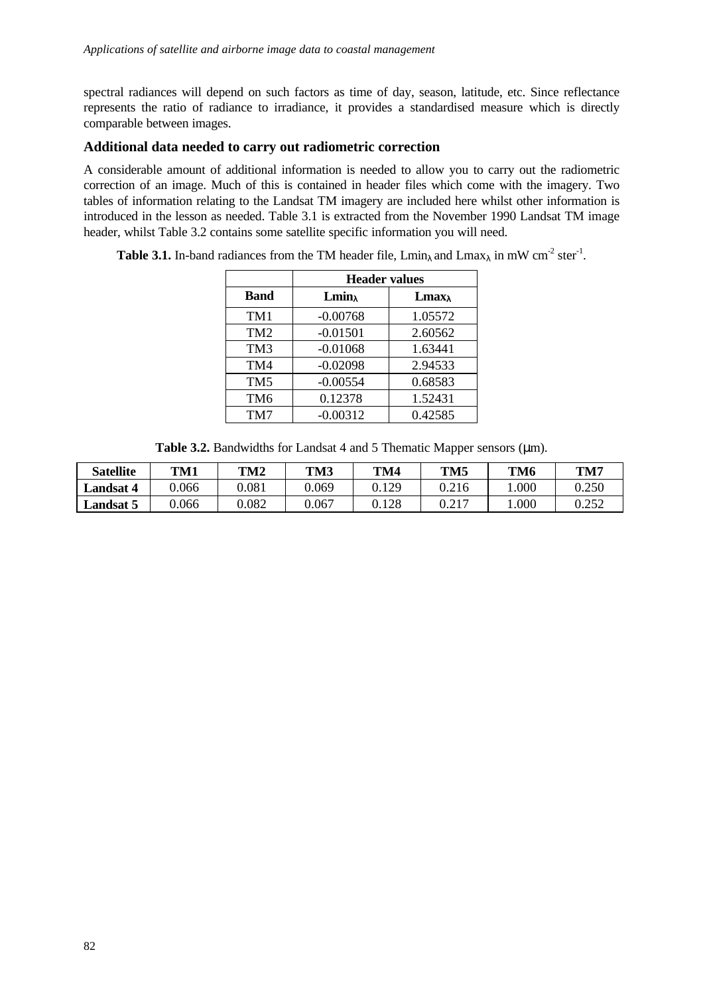spectral radiances will depend on such factors as time of day, season, latitude, etc. Since reflectance represents the ratio of radiance to irradiance, it provides a standardised measure which is directly comparable between images.

# **Additional data needed to carry out radiometric correction**

A considerable amount of additional information is needed to allow you to carry out the radiometric correction of an image. Much of this is contained in header files which come with the imagery. Two tables of information relating to the Landsat TM imagery are included here whilst other information is introduced in the lesson as needed. Table 3.1 is extracted from the November 1990 Landsat TM image header, whilst Table 3.2 contains some satellite specific information you will need.

**Table 3.1.** In-band radiances from the TM header file,  $\text{Lmin}_{\lambda}$  and  $\text{Lmax}_{\lambda}$  in mW cm<sup>-2</sup> ster<sup>-1</sup>.

|                 | <b>Header values</b> |                                              |  |  |  |  |
|-----------------|----------------------|----------------------------------------------|--|--|--|--|
| <b>Band</b>     | $Lmin_{\lambda}$     | <b>L</b> max <sub><math>\lambda</math></sub> |  |  |  |  |
| TM1             | $-0.00768$           | 1.05572                                      |  |  |  |  |
| TM <sub>2</sub> | $-0.01501$           | 2.60562                                      |  |  |  |  |
| TM <sub>3</sub> | $-0.01068$           | 1.63441                                      |  |  |  |  |
| TM4             | $-0.02098$           | 2.94533                                      |  |  |  |  |
| TM <sub>5</sub> | $-0.00554$           | 0.68583                                      |  |  |  |  |
| TM <sub>6</sub> | 0.12378              | 1.52431                                      |  |  |  |  |
| TM7             | $-0.00312$           | 0.42585                                      |  |  |  |  |

**Table 3.2.** Bandwidths for Landsat 4 and 5 Thematic Mapper sensors (μm).

| <b>Satellite</b>                 | TM1   | TM <sub>2</sub> | TM3   | TM4          | TM <sub>5</sub> | TM <sub>6</sub> | TM7                  |
|----------------------------------|-------|-----------------|-------|--------------|-----------------|-----------------|----------------------|
| ∟andsat                          | 0.066 | 0.081           | 0.069 | 0.129        | 0.216           | 0.000           | 0.250                |
| $\mathbf{L}$ andsat $\mathbf{F}$ | 0.066 | $\rm 0.082$     | J.067 | <b>J.128</b> | በ 217<br>0.41   | 000             | በ  ን  ና  ገ<br>J.4J.4 |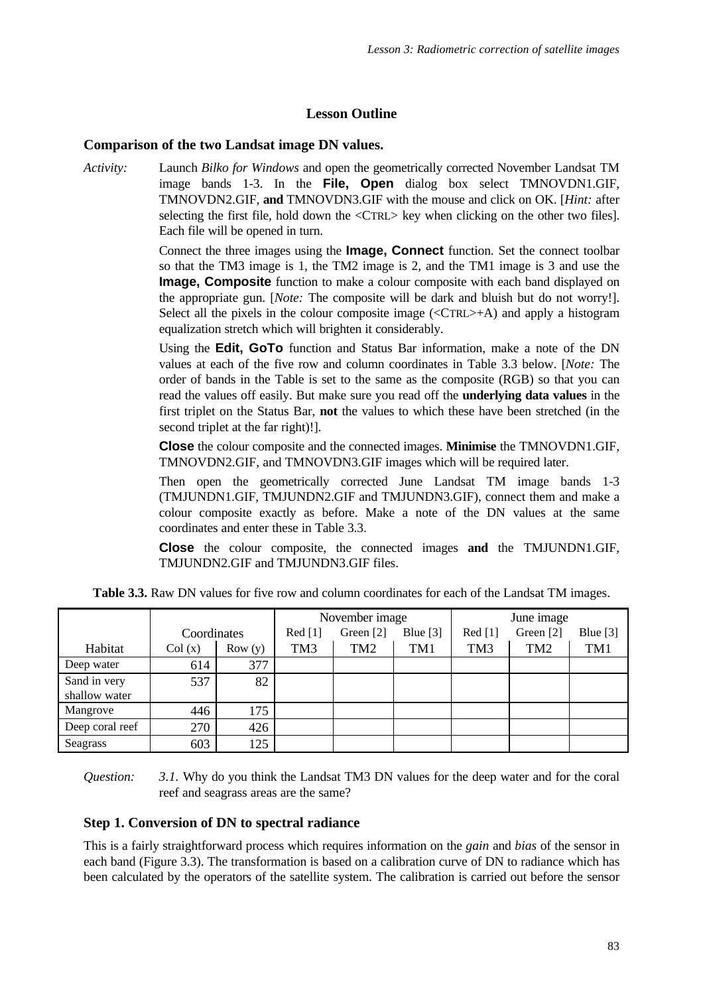# **Lesson Outline**

# **Comparison of the two Landsat image DN values.**

*Activity:* Launch *Bilko for Windows* and open the geometrically corrected November Landsat TM image bands 1-3. In the **File, Open** dialog box select TMNOVDN1.GIF, TMNOVDN2.GIF, **and** TMNOVDN3.GIF with the mouse and click on OK. [*Hint:* after selecting the first file, hold down the <CTRL> key when clicking on the other two files]. Each file will be opened in turn.

> Connect the three images using the **Image, Connect** function. Set the connect toolbar so that the TM3 image is 1, the TM2 image is 2, and the TM1 image is 3 and use the **Image, Composite** function to make a colour composite with each band displayed on the appropriate gun. [*Note:* The composite will be dark and bluish but do not worry!]. Select all the pixels in the colour composite image  $(<\text{CTR}\rightarrow A$ ) and apply a histogram equalization stretch which will brighten it considerably.

> Using the **Edit, GoTo** function and Status Bar information, make a note of the DN values at each of the five row and column coordinates in Table 3.3 below. [*Note:* The order of bands in the Table is set to the same as the composite (RGB) so that you can read the values off easily. But make sure you read off the **underlying data values** in the first triplet on the Status Bar, **not** the values to which these have been stretched (in the second triplet at the far right)!].

> **Close** the colour composite and the connected images. **Minimise** the TMNOVDN1.GIF, TMNOVDN2.GIF, and TMNOVDN3.GIF images which will be required later.

> Then open the geometrically corrected June Landsat TM image bands 1-3 (TMJUNDN1.GIF, TMJUNDN2.GIF and TMJUNDN3.GIF), connect them and make a colour composite exactly as before. Make a note of the DN values at the same coordinates and enter these in Table 3.3.

> **Close** the colour composite, the connected images **and** the TMJUNDN1.GIF, TMJUNDN2.GIF and TMJUNDN3.GIF files.

|                 |             |        | November image  |           |            | June image      |                 |            |
|-----------------|-------------|--------|-----------------|-----------|------------|-----------------|-----------------|------------|
|                 | Coordinates |        | Red [1]         | Green [2] | Blue $[3]$ | Red [1]         | Green [2]       | Blue $[3]$ |
| Habitat         | Col(x)      | Row(y) | TM <sub>3</sub> | TM2       | TM1        | TM <sub>3</sub> | TM <sub>2</sub> | TM1        |
| Deep water      | 614         | 377    |                 |           |            |                 |                 |            |
| Sand in very    | 537         | 82     |                 |           |            |                 |                 |            |
| shallow water   |             |        |                 |           |            |                 |                 |            |
| Mangrove        | 446         | 175    |                 |           |            |                 |                 |            |
| Deep coral reef | 270         | 426    |                 |           |            |                 |                 |            |
| Seagrass        | 603         | 125    |                 |           |            |                 |                 |            |

**Table 3.3.** Raw DN values for five row and column coordinates for each of the Landsat TM images.

*Question: 3.1.* Why do you think the Landsat TM3 DN values for the deep water and for the coral reef and seagrass areas are the same?

# **Step 1. Conversion of DN to spectral radiance**

This is a fairly straightforward process which requires information on the *gain* and *bias* of the sensor in each band (Figure 3.3). The transformation is based on a calibration curve of DN to radiance which has been calculated by the operators of the satellite system. The calibration is carried out before the sensor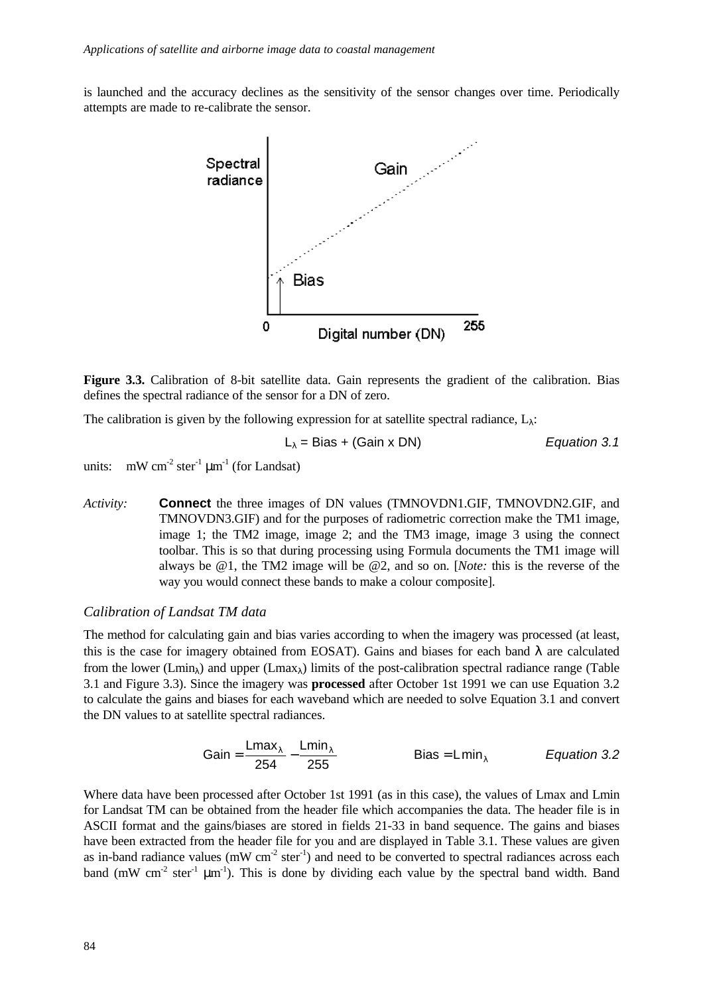is launched and the accuracy declines as the sensitivity of the sensor changes over time. Periodically attempts are made to re-calibrate the sensor.



**Figure 3.3.** Calibration of 8-bit satellite data. Gain represents the gradient of the calibration. Bias defines the spectral radiance of the sensor for a DN of zero.

The calibration is given by the following expression for at satellite spectral radiance,  $L_{\lambda}$ :

$$
L_{\lambda} = Bias + (Gain \times DN)
$$
 *Equation 3.1*

units:  $mW cm^{-2} ster^{-1} \mu m^{-1}$  (for Landsat)

*Activity:* **Connect** the three images of DN values (TMNOVDN1.GIF, TMNOVDN2.GIF, and TMNOVDN3.GIF) and for the purposes of radiometric correction make the TM1 image, image 1; the TM2 image, image 2; and the TM3 image, image 3 using the connect toolbar. This is so that during processing using Formula documents the TM1 image will always be @1, the TM2 image will be @2, and so on. [*Note:* this is the reverse of the way you would connect these bands to make a colour composite].

#### *Calibration of Landsat TM data*

The method for calculating gain and bias varies according to when the imagery was processed (at least, this is the case for imagery obtained from EOSAT). Gains and biases for each band  $\lambda$  are calculated from the lower (Lmin<sub> $\lambda$ </sub>) and upper (Lmax<sub> $\lambda$ </sub>) limits of the post-calibration spectral radiance range (Table 3.1 and Figure 3.3). Since the imagery was **processed** after October 1st 1991 we can use Equation 3.2 to calculate the gains and biases for each waveband which are needed to solve Equation 3.1 and convert the DN values to at satellite spectral radiances.

$$
Gain = \frac{Lmax_1}{254} - \frac{Lmin_1}{255}
$$
 Bias = Lmin<sub>1</sub> *Equation 3.2*

Where data have been processed after October 1st 1991 (as in this case), the values of Lmax and Lmin for Landsat TM can be obtained from the header file which accompanies the data. The header file is in ASCII format and the gains/biases are stored in fields 21-33 in band sequence. The gains and biases have been extracted from the header file for you and are displayed in Table 3.1. These values are given as in-band radiance values ( $mW \text{ cm}^{-2} \text{ ster}^{-1}$ ) and need to be converted to spectral radiances across each band (mW cm<sup>-2</sup> ster<sup>-1</sup>  $\mu$ m<sup>-1</sup>). This is done by dividing each value by the spectral band width. Band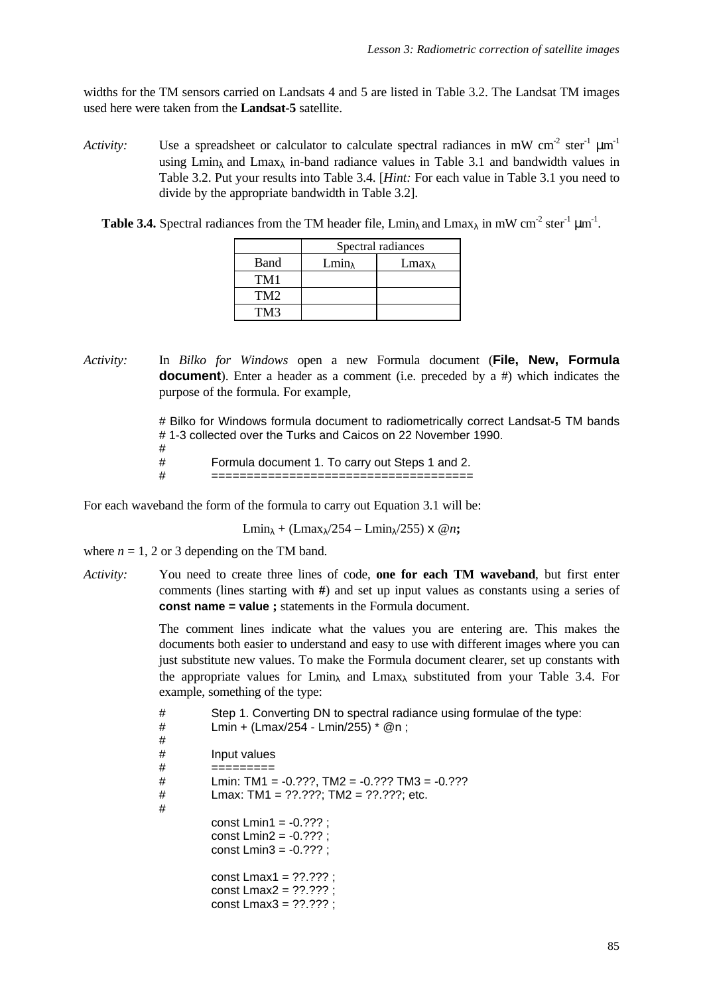widths for the TM sensors carried on Landsats 4 and 5 are listed in Table 3.2. The Landsat TM images used here were taken from the **Landsat-5** satellite.

- *Activity:* Use a spreadsheet or calculator to calculate spectral radiances in mW cm<sup>-2</sup> ster<sup>-1</sup>  $\mu$ m<sup>-1</sup> using Lmin<sub> $\lambda$ </sub> and Lmax<sub> $\lambda$ </sub> in-band radiance values in Table 3.1 and bandwidth values in Table 3.2. Put your results into Table 3.4. [*Hint:* For each value in Table 3.1 you need to divide by the appropriate bandwidth in Table 3.2].
	- **Table 3.4.** Spectral radiances from the TM header file,  $\text{Lmin}_{\lambda}$  and  $\text{Lmax}_{\lambda}$  in mW cm<sup>-2</sup> ster<sup>-1</sup>  $\mu$ m<sup>-1</sup>.

|      | Spectral radiances |                  |  |  |  |
|------|--------------------|------------------|--|--|--|
| Band | $Lmin_{\lambda}$   | $Lmax_{\lambda}$ |  |  |  |
| TM1  |                    |                  |  |  |  |
| TM2  |                    |                  |  |  |  |
| TM3  |                    |                  |  |  |  |

*Activity:* In *Bilko for Windows* open a new Formula document (**File, New, Formula document**). Enter a header as a comment (i.e. preceded by a #) which indicates the purpose of the formula. For example,

> # Bilko for Windows formula document to radiometrically correct Landsat-5 TM bands # 1-3 collected over the Turks and Caicos on 22 November 1990.

- #
- # Formula document 1. To carry out Steps 1 and 2.

For each waveband the form of the formula to carry out Equation 3.1 will be:

Lmin<sub> $\lambda$ </sub> + (Lmax $\lambda$ /254 – Lmin $\lambda$ /255) x @*n*;

# =====================================

where  $n = 1$ , 2 or 3 depending on the TM band.

*Activity:* You need to create three lines of code, **one for each TM waveband**, but first enter comments (lines starting with **#**) and set up input values as constants using a series of **const name = value ;** statements in the Formula document.

> The comment lines indicate what the values you are entering are. This makes the documents both easier to understand and easy to use with different images where you can just substitute new values. To make the Formula document clearer, set up constants with the appropriate values for Lmin<sub>λ</sub> and Lmax<sub>λ</sub> substituted from your Table 3.4. For example, something of the type:

| #<br>#<br>#      | Step 1. Converting DN to spectral radiance using formulae of the type:<br>Lmin + (Lmax/254 - Lmin/255) $*$ @n;    |
|------------------|-------------------------------------------------------------------------------------------------------------------|
| #                | Input values                                                                                                      |
| #<br>#<br>#<br># | =========<br>Lmin: TM1 = $-0.2$ ??, TM2 = $-0.2$ ?? TM3 = $-0.2$ ??<br>Lmax: TM1 = $?????$ ; TM2 = $?????$ ; etc. |
|                  | const $Lmin1 = -0.777$ :<br>const $Lmin2 = -0.777$ ;<br>const $Lmin3 = -0.777$ ;                                  |
|                  | const Lmax1 = $??$ .??? :<br>const $Lmax2 = ??.???$ :<br>const $Lmax3 = ??.???$                                   |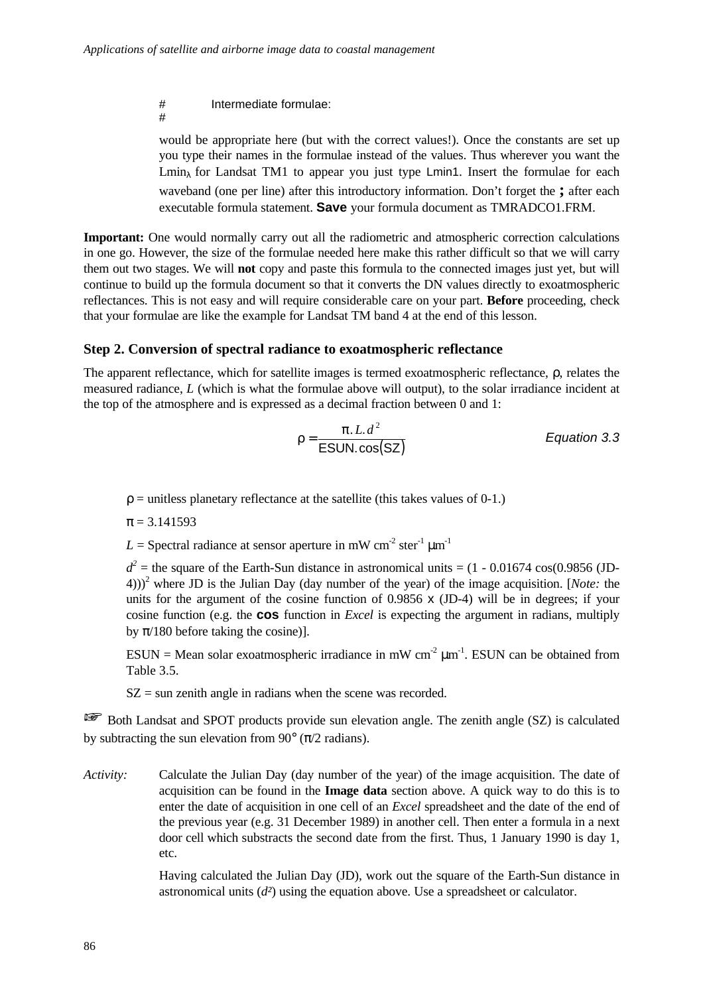# Intermediate formulae: #

would be appropriate here (but with the correct values!). Once the constants are set up you type their names in the formulae instead of the values. Thus wherever you want the Lmin<sub> $\lambda$ </sub> for Landsat TM1 to appear you just type Lmin<sub>1</sub>. Insert the formulae for each waveband (one per line) after this introductory information. Don't forget the **;** after each executable formula statement. **Save** your formula document as TMRADCO1.FRM.

**Important:** One would normally carry out all the radiometric and atmospheric correction calculations in one go. However, the size of the formulae needed here make this rather difficult so that we will carry them out two stages. We will **not** copy and paste this formula to the connected images just yet, but will continue to build up the formula document so that it converts the DN values directly to exoatmospheric reflectances. This is not easy and will require considerable care on your part. **Before** proceeding, check that your formulae are like the example for Landsat TM band 4 at the end of this lesson.

# **Step 2. Conversion of spectral radiance to exoatmospheric reflectance**

The apparent reflectance, which for satellite images is termed exoatmospheric reflectance, ρ, relates the measured radiance, *L* (which is what the formulae above will output), to the solar irradiance incident at the top of the atmosphere and is expressed as a decimal fraction between 0 and 1:

$$
r = \frac{p. L.d^2}{ESUN. \cos(SZ)}
$$
 *Equation 3.3*

 $r =$  unitless planetary reflectance at the satellite (this takes values of 0-1.)

 $p = 3.141593$ 

 $L =$  Spectral radiance at sensor aperture in mW cm<sup>-2</sup> ster<sup>-1</sup>  $\mu$ m<sup>-1</sup>

 $d^2$  = the square of the Earth-Sun distance in astronomical units = (1 - 0.01674 cos(0.9856 (JD-4)))<sup>2</sup> where JD is the Julian Day (day number of the year) of the image acquisition. [*Note:* the units for the argument of the cosine function of 0.9856 x (JD-4) will be in degrees; if your cosine function (e.g. the **cos** function in *Excel* is expecting the argument in radians, multiply by *p*/180 before taking the cosine)].

 $ESUN = Mean solar exoatmospheric irradiance in mW cm<sup>-2</sup>  $\mu$ m<sup>-1</sup>. ESUN can be obtained from$ Table 3.5.

 $SZ =$  sun zenith angle in radians when the scene was recorded.

**EX** Both Landsat and SPOT products provide sun elevation angle. The zenith angle (SZ) is calculated by subtracting the sun elevation from 90 $\degree$  ( $\pi$ /2 radians).

*Activity:* Calculate the Julian Day (day number of the year) of the image acquisition. The date of acquisition can be found in the **Image data** section above. A quick way to do this is to enter the date of acquisition in one cell of an *Excel* spreadsheet and the date of the end of the previous year (e.g. 31 December 1989) in another cell. Then enter a formula in a next door cell which substracts the second date from the first. Thus, 1 January 1990 is day 1, etc.

> Having calculated the Julian Day (JD), work out the square of the Earth-Sun distance in astronomical units (*d²*) using the equation above. Use a spreadsheet or calculator.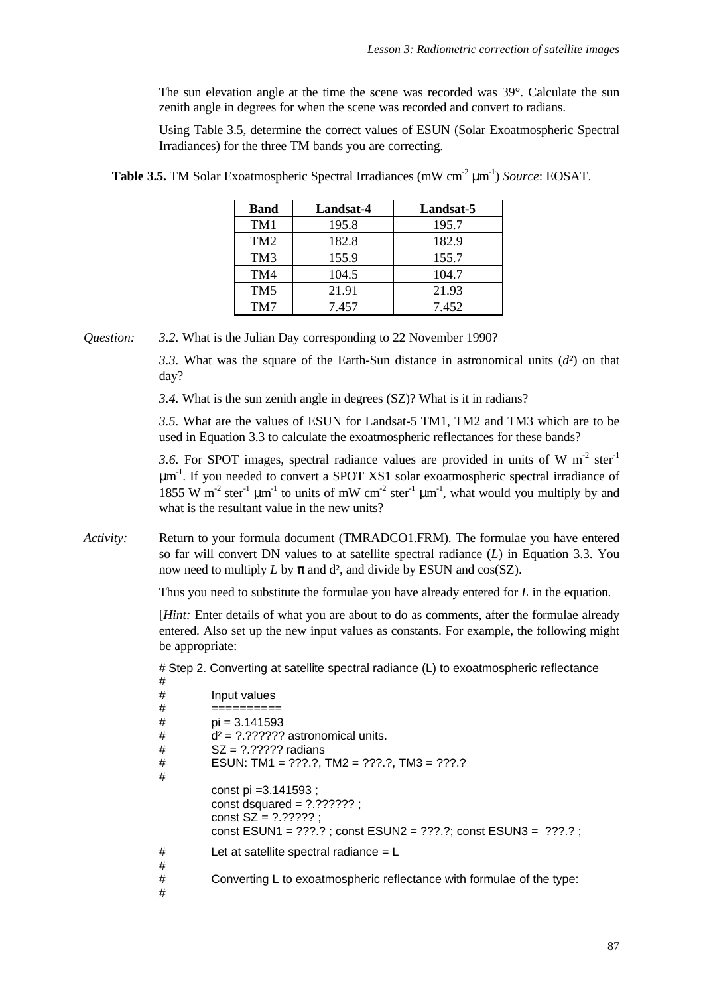The sun elevation angle at the time the scene was recorded was 39°. Calculate the sun zenith angle in degrees for when the scene was recorded and convert to radians.

Using Table 3.5, determine the correct values of ESUN (Solar Exoatmospheric Spectral Irradiances) for the three TM bands you are correcting.

| <b>Band</b>     | Landsat-4 | Landsat-5 |
|-----------------|-----------|-----------|
| TM1             | 195.8     | 195.7     |
| TM <sub>2</sub> | 182.8     | 182.9     |
| TM <sub>3</sub> | 155.9     | 155.7     |
| TM4             | 104.5     | 104.7     |
| TM <sub>5</sub> | 21.91     | 21.93     |
| TM7             | 7.457     | 7.452     |

**Table 3.5.** TM Solar Exoatmospheric Spectral Irradiances (mW cm<sup>-2</sup> μm<sup>-1</sup>) *Source*: EOSAT.

*Question: 3.2.* What is the Julian Day corresponding to 22 November 1990?

*3.3.* What was the square of the Earth-Sun distance in astronomical units (*d²*) on that day?

*3.4.* What is the sun zenith angle in degrees (SZ)? What is it in radians?

*3.5.* What are the values of ESUN for Landsat-5 TM1, TM2 and TM3 which are to be used in Equation 3.3 to calculate the exoatmospheric reflectances for these bands?

3.6. For SPOT images, spectral radiance values are provided in units of W  $m<sup>-2</sup>$  ster<sup>-1</sup>  $\mu$ m<sup>-1</sup>. If you needed to convert a SPOT XS1 solar exoatmospheric spectral irradiance of 1855 W m<sup>-2</sup> ster<sup>-1</sup>  $\mu$ m<sup>-1</sup> to units of mW cm<sup>-2</sup> ster<sup>-1</sup>  $\mu$ m<sup>-1</sup>, what would you multiply by and what is the resultant value in the new units?

*Activity:* Return to your formula document (TMRADCO1.FRM). The formulae you have entered so far will convert DN values to at satellite spectral radiance (*L*) in Equation 3.3. You now need to multiply *L* by *p* and d², and divide by ESUN and cos(SZ).

Thus you need to substitute the formulae you have already entered for *L* in the equation.

[*Hint:* Enter details of what you are about to do as comments, after the formulae already entered. Also set up the new input values as constants. For example, the following might be appropriate:

# Step 2. Converting at satellite spectral radiance (L) to exoatmospheric reflectance

| #      |                                                                            |
|--------|----------------------------------------------------------------------------|
| #      | Input values                                                               |
| #      |                                                                            |
| #      | $pi = 3.141593$                                                            |
| #      | $d^2 = ???????$ astronomical units.                                        |
| #      | $SZ = ? ? ? ? ? ?$ radians                                                 |
| #      | ESUN: TM1 = $??$ ?.?, TM2 = $??$ ?.?, TM3 = $??$ ?.?                       |
| #      |                                                                            |
|        | const pi = $3.141593$ ;                                                    |
|        | const dsquared = $?.'?????$ ;                                              |
|        | const $SZ = 7.77777$ :                                                     |
|        | const ESUN1 = $???, ?$ ; const ESUN2 = $???, ?$ ; const ESUN3 = $???, ?$ ; |
| #      | Let at satellite spectral radiance $= L$                                   |
| #      |                                                                            |
| #<br># | Converting L to exoatmospheric reflectance with formulae of the type:      |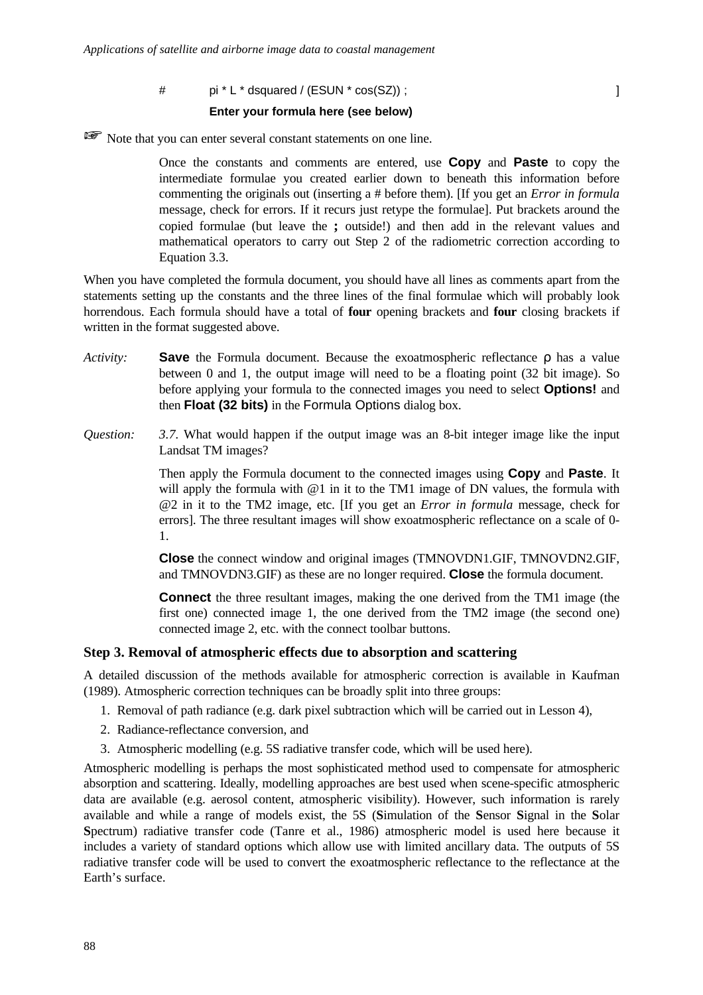$\#$  pi \* L \* dsquared / (ESUN \* cos(SZ)) ;  $\qquad \qquad$  ]

#### **Enter your formula here (see below)**

Note that you can enter several constant statements on one line.

Once the constants and comments are entered, use **Copy** and **Paste** to copy the intermediate formulae you created earlier down to beneath this information before commenting the originals out (inserting a # before them). [If you get an *Error in formula* message, check for errors. If it recurs just retype the formulae]. Put brackets around the copied formulae (but leave the **;** outside!) and then add in the relevant values and mathematical operators to carry out Step 2 of the radiometric correction according to Equation 3.3.

When you have completed the formula document, you should have all lines as comments apart from the statements setting up the constants and the three lines of the final formulae which will probably look horrendous. Each formula should have a total of **four** opening brackets and **four** closing brackets if written in the format suggested above.

- *Activity:* **Save** the Formula document. Because the exoatmospheric reflectance ρ has a value between 0 and 1, the output image will need to be a floating point (32 bit image). So before applying your formula to the connected images you need to select **Options!** and then **Float (32 bits)** in the Formula Options dialog box.
- *Question: 3.7.* What would happen if the output image was an 8-bit integer image like the input Landsat TM images?

Then apply the Formula document to the connected images using **Copy** and **Paste**. It will apply the formula with  $@1$  in it to the TM1 image of DN values, the formula with @2 in it to the TM2 image, etc. [If you get an *Error in formula* message, check for errors]. The three resultant images will show exoatmospheric reflectance on a scale of 0- 1.

**Close** the connect window and original images (TMNOVDN1.GIF, TMNOVDN2.GIF, and TMNOVDN3.GIF) as these are no longer required. **Close** the formula document.

**Connect** the three resultant images, making the one derived from the TM1 image (the first one) connected image 1, the one derived from the TM2 image (the second one) connected image 2, etc. with the connect toolbar buttons.

#### **Step 3. Removal of atmospheric effects due to absorption and scattering**

A detailed discussion of the methods available for atmospheric correction is available in Kaufman (1989). Atmospheric correction techniques can be broadly split into three groups:

- 1. Removal of path radiance (e.g. dark pixel subtraction which will be carried out in Lesson 4),
- 2. Radiance-reflectance conversion, and
- 3. Atmospheric modelling (e.g. 5S radiative transfer code, which will be used here).

Atmospheric modelling is perhaps the most sophisticated method used to compensate for atmospheric absorption and scattering. Ideally, modelling approaches are best used when scene-specific atmospheric data are available (e.g. aerosol content, atmospheric visibility). However, such information is rarely available and while a range of models exist, the 5S (**S**imulation of the **S**ensor **S**ignal in the **S**olar **S**pectrum) radiative transfer code (Tanre et al., 1986) atmospheric model is used here because it includes a variety of standard options which allow use with limited ancillary data. The outputs of 5S radiative transfer code will be used to convert the exoatmospheric reflectance to the reflectance at the Earth's surface.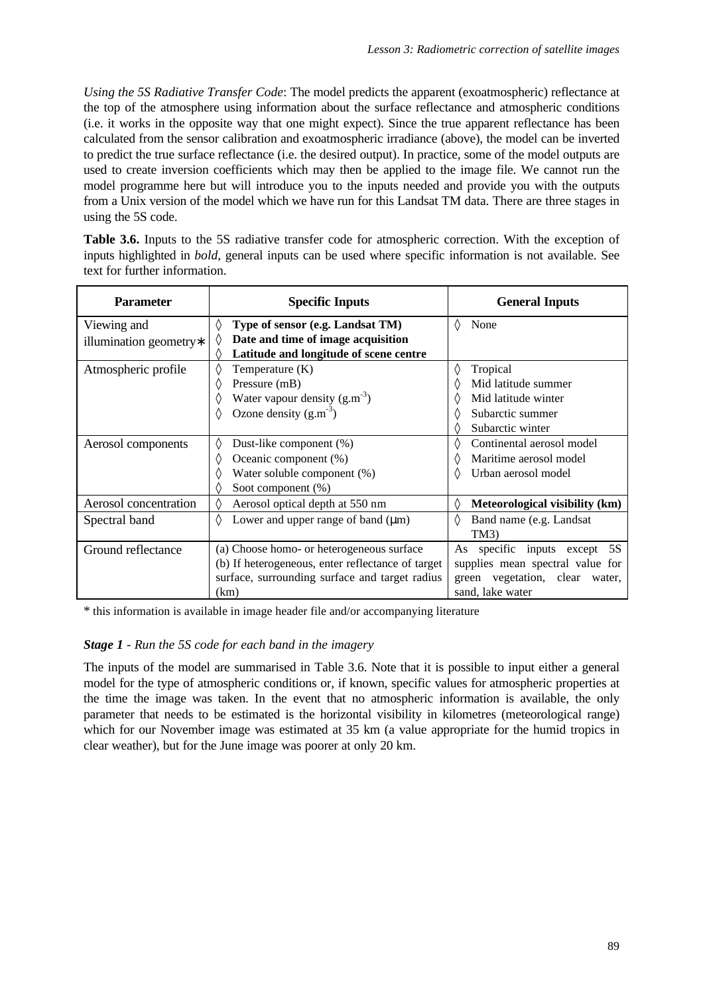*Using the 5S Radiative Transfer Code*: The model predicts the apparent (exoatmospheric) reflectance at the top of the atmosphere using information about the surface reflectance and atmospheric conditions (i.e. it works in the opposite way that one might expect). Since the true apparent reflectance has been calculated from the sensor calibration and exoatmospheric irradiance (above), the model can be inverted to predict the true surface reflectance (i.e. the desired output). In practice, some of the model outputs are used to create inversion coefficients which may then be applied to the image file. We cannot run the model programme here but will introduce you to the inputs needed and provide you with the outputs from a Unix version of the model which we have run for this Landsat TM data. There are three stages in using the 5S code.

**Table 3.6.** Inputs to the 5S radiative transfer code for atmospheric correction. With the exception of inputs highlighted in *bold*, general inputs can be used where specific information is not available. See text for further information.

| <b>Parameter</b>                       | <b>Specific Inputs</b>                                                                                                                                   | <b>General Inputs</b>                                                                                                                                   |
|----------------------------------------|----------------------------------------------------------------------------------------------------------------------------------------------------------|---------------------------------------------------------------------------------------------------------------------------------------------------------|
| Viewing and<br>illumination geometry*  | ♦<br>Type of sensor (e.g. Landsat TM)<br>Date and time of image acquisition<br>◊<br>Latitude and longitude of scene centre<br>♦                          | ♦<br>None                                                                                                                                               |
| Atmospheric profile                    | ◊<br>Temperature (K)<br>Pressure (mB)<br>◊<br>Water vapour density $(g.m^{-3})$<br>Ozone density $(g.m^{-3})$<br>♦                                       | ♦<br>Tropical<br>Mid latitude summer<br>$\langle \rangle$<br>Mid latitude winter<br>♦<br>Subarctic summer<br>$\langle \rangle$<br>Subarctic winter<br>♦ |
| Aerosol components                     | ♦<br>Dust-like component (%)<br>◊<br>Oceanic component (%)<br>Water soluble component (%)<br>◊<br>◊<br>Soot component (%)                                | Continental aerosol model<br>$\langle \rangle$<br>Maritime aerosol model<br>$\langle \rangle$<br>Urban aerosol model<br>♦                               |
| Aerosol concentration<br>Spectral band | ♦<br>Aerosol optical depth at 550 nm<br>♦<br>Lower and upper range of band $(\mu m)$                                                                     | Meteorological visibility (km)<br>♦<br>♦<br>Band name (e.g. Landsat<br>TM3)                                                                             |
| Ground reflectance                     | (a) Choose homo- or heterogeneous surface<br>(b) If heterogeneous, enter reflectance of target<br>surface, surrounding surface and target radius<br>(km) | As specific inputs except 5S<br>supplies mean spectral value for<br>green vegetation, clear water,<br>sand, lake water                                  |

\* this information is available in image header file and/or accompanying literature

## *Stage 1 - Run the 5S code for each band in the imagery*

The inputs of the model are summarised in Table 3.6. Note that it is possible to input either a general model for the type of atmospheric conditions or, if known, specific values for atmospheric properties at the time the image was taken. In the event that no atmospheric information is available, the only parameter that needs to be estimated is the horizontal visibility in kilometres (meteorological range) which for our November image was estimated at 35 km (a value appropriate for the humid tropics in clear weather), but for the June image was poorer at only 20 km.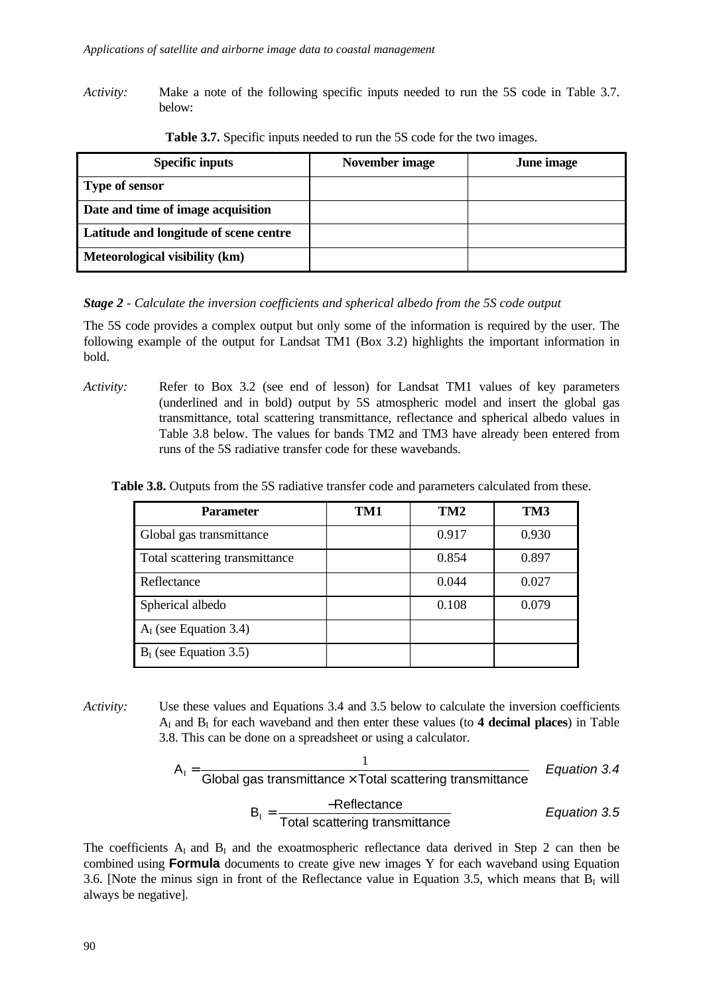*Activity:* Make a note of the following specific inputs needed to run the 5S code in Table 3.7. below:

| <b>Specific inputs</b>                 | November image | June image |
|----------------------------------------|----------------|------------|
| <b>Type of sensor</b>                  |                |            |
| Date and time of image acquisition     |                |            |
| Latitude and longitude of scene centre |                |            |
| Meteorological visibility (km)         |                |            |

**Table 3.7.** Specific inputs needed to run the 5S code for the two images.

## *Stage 2 - Calculate the inversion coefficients and spherical albedo from the 5S code output*

The 5S code provides a complex output but only some of the information is required by the user. The following example of the output for Landsat TM1 (Box 3.2) highlights the important information in bold.

*Activity:* Refer to Box 3.2 (see end of lesson) for Landsat TM1 values of key parameters (underlined and in bold) output by 5S atmospheric model and insert the global gas transmittance, total scattering transmittance, reflectance and spherical albedo values in Table 3.8 below. The values for bands TM2 and TM3 have already been entered from runs of the 5S radiative transfer code for these wavebands.

**Table 3.8.** Outputs from the 5S radiative transfer code and parameters calculated from these.

| <b>Parameter</b>               | TM1 | TM2   | TM3   |
|--------------------------------|-----|-------|-------|
| Global gas transmittance       |     | 0.917 | 0.930 |
| Total scattering transmittance |     | 0.854 | 0.897 |
| Reflectance                    |     | 0.044 | 0.027 |
| Spherical albedo               |     | 0.108 | 0.079 |
| $AI$ (see Equation 3.4)        |     |       |       |
| $BI$ (see Equation 3.5)        |     |       |       |

*Activity:* Use these values and Equations 3.4 and 3.5 below to calculate the inversion coefficients AI and B<sup>I</sup> for each waveband and then enter these values (to **4 decimal places**) in Table 3.8. This can be done on a spreadsheet or using a calculator.

$$
A_1 = \frac{1}{\text{Global gas transmitter} \times \text{Total scattering transmitter}}
$$
\n
$$
B_1 = \frac{\text{=Reference}}{\text{Total scattering transmitter}}
$$
\n
$$
Equation 3.4
$$
\n
$$
B_2 = \frac{\text{=Reference}}{\text{Total scattering transmitter}}
$$
\n
$$
Equation 3.5
$$

The coefficients  $A_I$  and  $B_I$  and the exoatmospheric reflectance data derived in Step 2 can then be combined using **Formula** documents to create give new images Y for each waveband using Equation 3.6. [Note the minus sign in front of the Reflectance value in Equation 3.5, which means that  $B<sub>I</sub>$  will always be negative].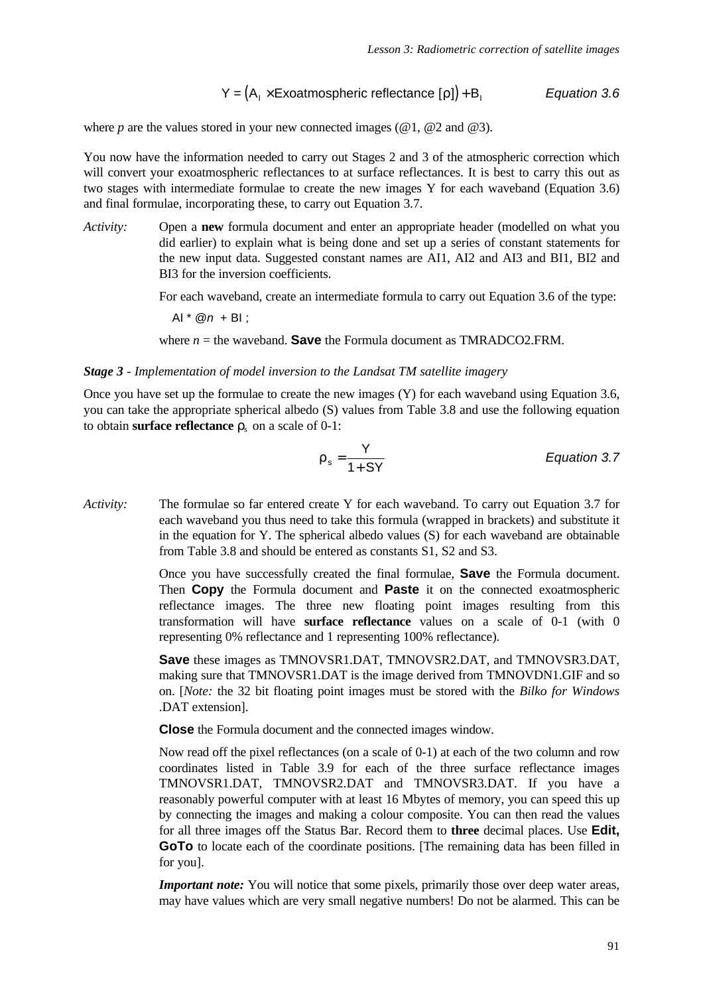$$
Y = (A_1 \times Exoatmospheric reflectance [r]) + B_1
$$
 *Equation 3.6*

where  $p$  are the values stored in your new connected images ( $@1$ ,  $@2$  and  $@3$ ).

You now have the information needed to carry out Stages 2 and 3 of the atmospheric correction which will convert your exoatmospheric reflectances to at surface reflectances. It is best to carry this out as two stages with intermediate formulae to create the new images Y for each waveband (Equation 3.6) and final formulae, incorporating these, to carry out Equation 3.7.

*Activity:* Open a **new** formula document and enter an appropriate header (modelled on what you did earlier) to explain what is being done and set up a series of constant statements for the new input data. Suggested constant names are AI1, AI2 and AI3 and BI1, BI2 and BI3 for the inversion coefficients.

For each waveband, create an intermediate formula to carry out Equation 3.6 of the type:

AI \* @*n* + BI ;

where  $n =$  the waveband. **Save** the Formula document as TMRADCO2.FRM.

#### *Stage 3 - Implementation of model inversion to the Landsat TM satellite imagery*

Once you have set up the formulae to create the new images  $(Y)$  for each waveband using Equation 3.6, you can take the appropriate spherical albedo (S) values from Table 3.8 and use the following equation to obtain **surface reflectance**  $r_s$  on a scale of 0-1:

$$
r_s = \frac{Y}{1 + SY}
$$
 *Equation 3.7*

*Activity:* The formulae so far entered create Y for each waveband. To carry out Equation 3.7 for each waveband you thus need to take this formula (wrapped in brackets) and substitute it in the equation for Y. The spherical albedo values (S) for each waveband are obtainable from Table 3.8 and should be entered as constants S1, S2 and S3.

> Once you have successfully created the final formulae, **Save** the Formula document. Then **Copy** the Formula document and **Paste** it on the connected exoatmospheric reflectance images. The three new floating point images resulting from this transformation will have **surface reflectance** values on a scale of 0-1 (with 0 representing 0% reflectance and 1 representing 100% reflectance).

> **Save** these images as TMNOVSR1.DAT, TMNOVSR2.DAT, and TMNOVSR3.DAT, making sure that TMNOVSR1.DAT is the image derived from TMNOVDN1.GIF and so on. [*Note:* the 32 bit floating point images must be stored with the *Bilko for Windows* .DAT extension].

**Close** the Formula document and the connected images window.

Now read off the pixel reflectances (on a scale of 0-1) at each of the two column and row coordinates listed in Table 3.9 for each of the three surface reflectance images TMNOVSR1.DAT, TMNOVSR2.DAT and TMNOVSR3.DAT. If you have a reasonably powerful computer with at least 16 Mbytes of memory, you can speed this up by connecting the images and making a colour composite. You can then read the values for all three images off the Status Bar. Record them to **three** decimal places. Use **Edit, GoTo** to locate each of the coordinate positions. [The remaining data has been filled in for you].

*Important note:* You will notice that some pixels, primarily those over deep water areas, may have values which are very small negative numbers! Do not be alarmed. This can be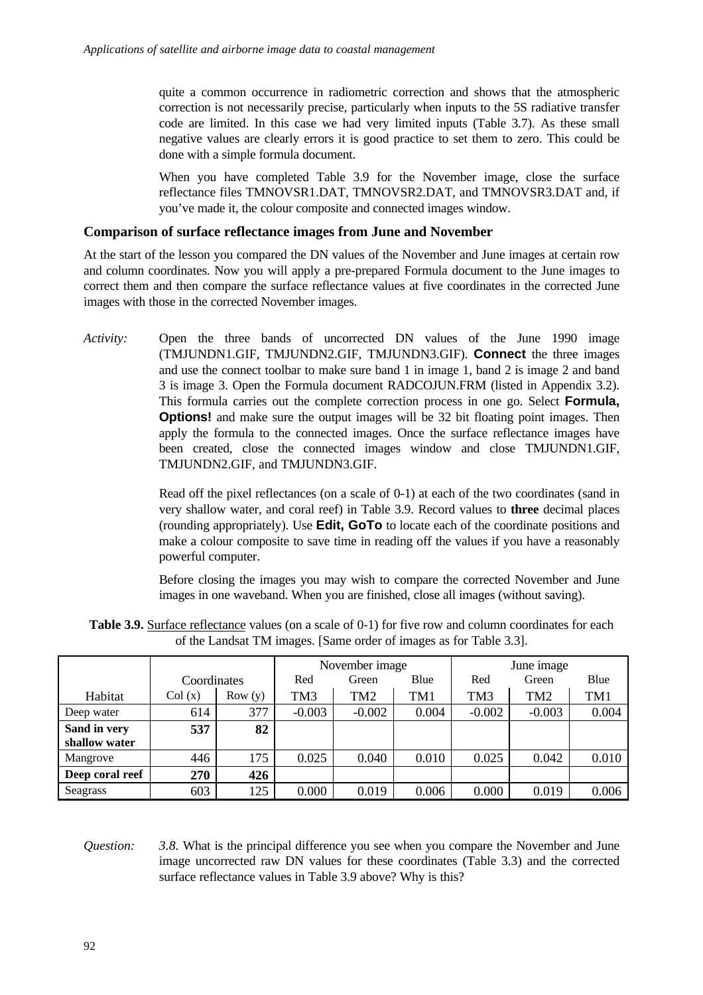quite a common occurrence in radiometric correction and shows that the atmospheric correction is not necessarily precise, particularly when inputs to the 5S radiative transfer code are limited. In this case we had very limited inputs (Table 3.7). As these small negative values are clearly errors it is good practice to set them to zero. This could be done with a simple formula document.

When you have completed Table 3.9 for the November image, close the surface reflectance files TMNOVSR1.DAT, TMNOVSR2.DAT, and TMNOVSR3.DAT and, if you've made it, the colour composite and connected images window.

## **Comparison of surface reflectance images from June and November**

At the start of the lesson you compared the DN values of the November and June images at certain row and column coordinates. Now you will apply a pre-prepared Formula document to the June images to correct them and then compare the surface reflectance values at five coordinates in the corrected June images with those in the corrected November images.

*Activity:* Open the three bands of uncorrected DN values of the June 1990 image (TMJUNDN1.GIF, TMJUNDN2.GIF, TMJUNDN3.GIF). **Connect** the three images and use the connect toolbar to make sure band 1 in image 1, band 2 is image 2 and band 3 is image 3. Open the Formula document RADCOJUN.FRM (listed in Appendix 3.2). This formula carries out the complete correction process in one go. Select **Formula, Options!** and make sure the output images will be 32 bit floating point images. Then apply the formula to the connected images. Once the surface reflectance images have been created, close the connected images window and close TMJUNDN1.GIF, TMJUNDN2.GIF, and TMJUNDN3.GIF.

> Read off the pixel reflectances (on a scale of 0-1) at each of the two coordinates (sand in very shallow water, and coral reef) in Table 3.9. Record values to **three** decimal places (rounding appropriately). Use **Edit, GoTo** to locate each of the coordinate positions and make a colour composite to save time in reading off the values if you have a reasonably powerful computer.

> Before closing the images you may wish to compare the corrected November and June images in one waveband. When you are finished, close all images (without saving).

|                 |             |        |          |          | November image |                 |                 | June image |  |
|-----------------|-------------|--------|----------|----------|----------------|-----------------|-----------------|------------|--|
|                 | Coordinates |        | Red      | Green    | Blue           | Red             | Green           | Blue       |  |
| Habitat         | Col(x)      | Row(y) | TM3      | TM2      | TM1            | TM <sub>3</sub> | TM <sub>2</sub> | TM1        |  |
| Deep water      | 614         | 377    | $-0.003$ | $-0.002$ | 0.004          | $-0.002$        | $-0.003$        | 0.004      |  |
| Sand in very    | 537         | 82     |          |          |                |                 |                 |            |  |
| shallow water   |             |        |          |          |                |                 |                 |            |  |
| Mangrove        | 446         | 175    | 0.025    | 0.040    | 0.010          | 0.025           | 0.042           | 0.010      |  |
| Deep coral reef | 270         | 426    |          |          |                |                 |                 |            |  |
| Seagrass        | 603         | 125    | 0.000    | 0.019    | 0.006          | 0.000           | 0.019           | 0.006      |  |

**Table 3.9.** Surface reflectance values (on a scale of 0-1) for five row and column coordinates for each of the Landsat TM images. [Same order of images as for Table 3.3].

*Question: 3.8.* What is the principal difference you see when you compare the November and June image uncorrected raw DN values for these coordinates (Table 3.3) and the corrected surface reflectance values in Table 3.9 above? Why is this?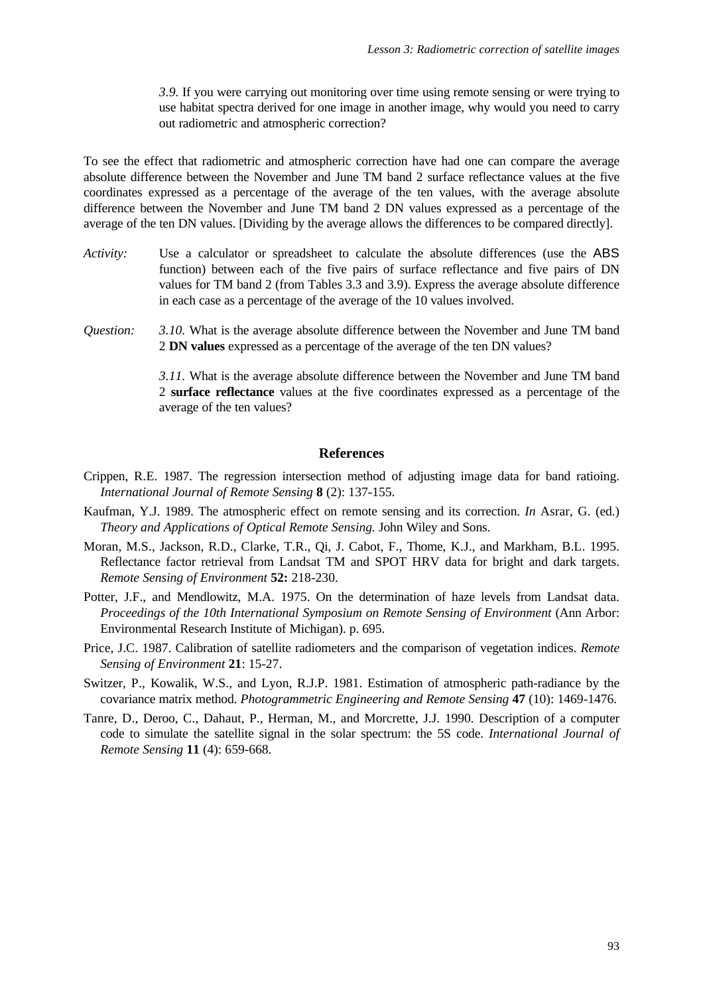*3.9.* If you were carrying out monitoring over time using remote sensing or were trying to use habitat spectra derived for one image in another image, why would you need to carry out radiometric and atmospheric correction?

To see the effect that radiometric and atmospheric correction have had one can compare the average absolute difference between the November and June TM band 2 surface reflectance values at the five coordinates expressed as a percentage of the average of the ten values, with the average absolute difference between the November and June TM band 2 DN values expressed as a percentage of the average of the ten DN values. [Dividing by the average allows the differences to be compared directly].

- *Activity:* Use a calculator or spreadsheet to calculate the absolute differences (use the ABS function) between each of the five pairs of surface reflectance and five pairs of DN values for TM band 2 (from Tables 3.3 and 3.9). Express the average absolute difference in each case as a percentage of the average of the 10 values involved.
- *Question: 3.10.* What is the average absolute difference between the November and June TM band 2 **DN values** expressed as a percentage of the average of the ten DN values?

*3.11.* What is the average absolute difference between the November and June TM band 2 **surface reflectance** values at the five coordinates expressed as a percentage of the average of the ten values?

#### **References**

- Crippen, R.E. 1987. The regression intersection method of adjusting image data for band ratioing. *International Journal of Remote Sensing* **8** (2): 137-155.
- Kaufman, Y.J. 1989. The atmospheric effect on remote sensing and its correction. *In* Asrar, G. (ed.) *Theory and Applications of Optical Remote Sensing.* John Wiley and Sons.
- Moran, M.S., Jackson, R.D., Clarke, T.R., Qi, J. Cabot, F., Thome, K.J., and Markham, B.L. 1995. Reflectance factor retrieval from Landsat TM and SPOT HRV data for bright and dark targets. *Remote Sensing of Environment* **52:** 218-230.
- Potter, J.F., and Mendlowitz, M.A. 1975. On the determination of haze levels from Landsat data. *Proceedings of the 10th International Symposium on Remote Sensing of Environment* (Ann Arbor: Environmental Research Institute of Michigan). p. 695.
- Price, J.C. 1987. Calibration of satellite radiometers and the comparison of vegetation indices. *Remote Sensing of Environment* **21**: 15-27.
- Switzer, P., Kowalik, W.S., and Lyon, R.J.P. 1981. Estimation of atmospheric path-radiance by the covariance matrix method. *Photogrammetric Engineering and Remote Sensing* **47** (10): 1469-1476.
- Tanre, D., Deroo, C., Dahaut, P., Herman, M., and Morcrette, J.J. 1990. Description of a computer code to simulate the satellite signal in the solar spectrum: the 5S code. *International Journal of Remote Sensing* **11** (4): 659-668.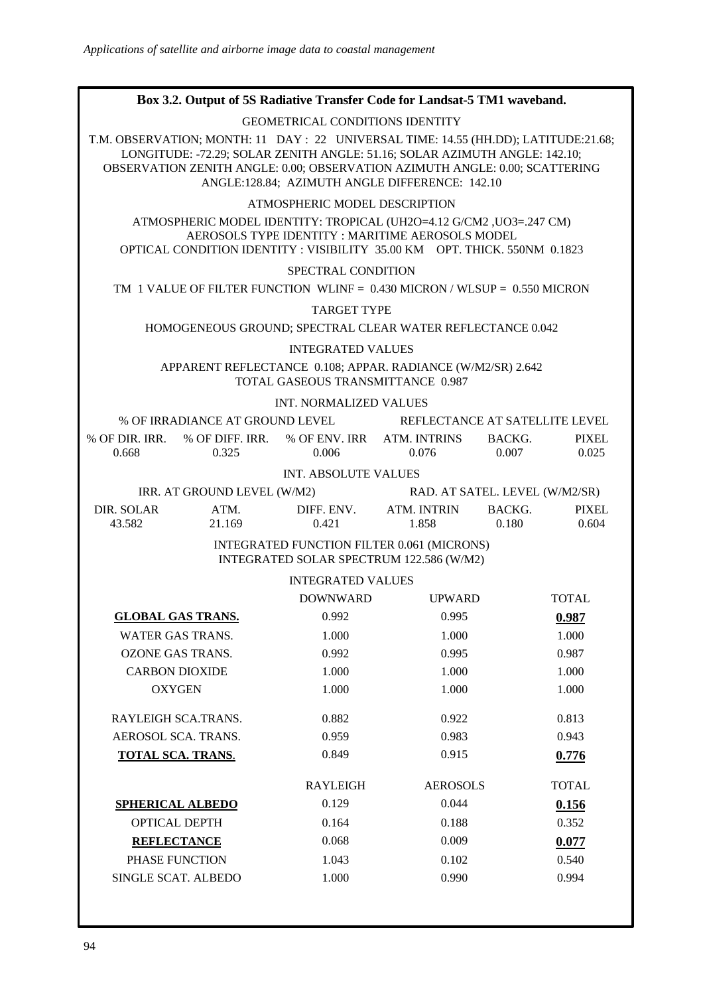# **Box 3.2. Output of 5S Radiative Transfer Code for Landsat-5 TM1 waveband.** GEOMETRICAL CONDITIONS IDENTITY T.M. OBSERVATION; MONTH: 11 DAY : 22 UNIVERSAL TIME: 14.55 (HH.DD); LATITUDE:21.68; LONGITUDE: -72.29; SOLAR ZENITH ANGLE: 51.16; SOLAR AZIMUTH ANGLE: 142.10; OBSERVATION ZENITH ANGLE: 0.00; OBSERVATION AZIMUTH ANGLE: 0.00; SCATTERING ANGLE:128.84; AZIMUTH ANGLE DIFFERENCE: 142.10 ATMOSPHERIC MODEL DESCRIPTION ATMOSPHERIC MODEL IDENTITY: TROPICAL (UH2O=4.12 G/CM2 ,UO3=.247 CM) AEROSOLS TYPE IDENTITY : MARITIME AEROSOLS MODEL OPTICAL CONDITION IDENTITY : VISIBILITY 35.00 KM OPT. THICK. 550NM 0.1823 SPECTRAL CONDITION TM 1 VALUE OF FILTER FUNCTION WLINF = 0.430 MICRON / WLSUP = 0.550 MICRON TARGET TYPE HOMOGENEOUS GROUND; SPECTRAL CLEAR WATER REFLECTANCE 0.042 INTEGRATED VALUES APPARENT REFLECTANCE 0.108; APPAR. RADIANCE (W/M2/SR) 2.642 TOTAL GASEOUS TRANSMITTANCE 0.987 INT. NORMALIZED VALUES % OF IRRADIANCE AT GROUND LEVEL REFLECTANCE AT SATELLITE LEVEL % OF DIR. IRR. % OF DIFF. IRR. % OF ENV. IRR ATM. INTRINS BACKG. PIXEL 0.668 0.325 0.006 0.076 0.007 0.025 INT. ABSOLUTE VALUES IRR. AT GROUND LEVEL (W/M2) RAD. AT SATEL. LEVEL (W/M2/SR) DIR. SOLAR ATM. DIFF. ENV. ATM. INTRIN BACKG. PIXEL 43.582 21.169 0.421 1.858 0.180 0.604 INTEGRATED FUNCTION FILTER 0.061 (MICRONS) INTEGRATED SOLAR SPECTRUM 122.586 (W/M2) INTEGRATED VALUES DOWNWARD UPWARD TOTAL **GLOBAL GAS TRANS.** 0.992 0.995 0.987 WATER GAS TRANS. 1.000 1.000 1.000 1.000 OZONE GAS TRANS.  $0.992$  0.995 0.987 CARBON DIOXIDE 1.000 1.000 1.000 1.000 OXYGEN 1.000 1.000 1.000 1.000 RAYLEIGH SCA.TRANS.  $0.882$   $0.922$   $0.813$ AEROSOL SCA. TRANS.  $0.959$  0.983 0.943 0.943 **TOTAL SCA. TRANS.** 0.849 0.915 0.776 RAYLEIGH AEROSOLS TOTAL **SPHERICAL ALBEDO** 0.129 0.044 **0.156** OPTICAL DEPTH 0.164 0.188 0.352 **REFLECTANCE** 0.068 0.009 0.077 PHASE FUNCTION 1.043 0.102 0.540 SINGLE SCAT. ALBEDO 1.000 0.990 0.994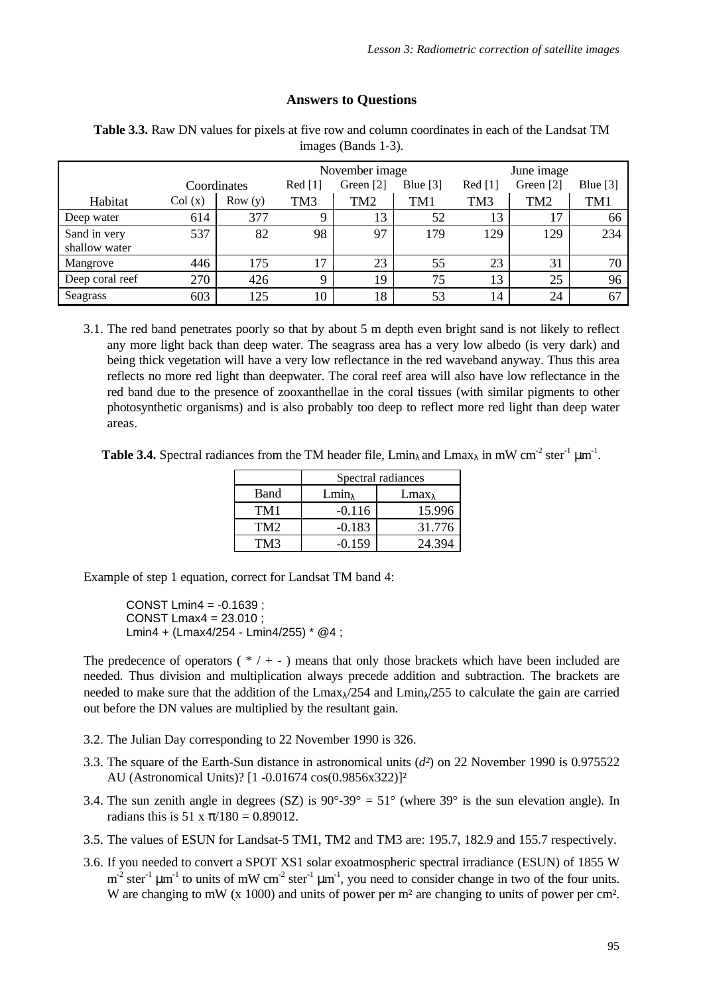# **Answers to Questions**

|                 | November image |             |             |           |            |                 |                 |            |
|-----------------|----------------|-------------|-------------|-----------|------------|-----------------|-----------------|------------|
|                 |                |             |             |           |            |                 | June image      |            |
|                 |                | Coordinates | Red [1]     | Green [2] | Blue $[3]$ | Red [1]         | Green [2]       | Blue $[3]$ |
| Habitat         | Col(x)         | Row(y)      | TM3         | TM2       | TM1        | TM <sub>3</sub> | TM <sub>2</sub> | TM1        |
| Deep water      | 614            | 377         | Q           | 13        | 52         | 13              | 17              | 66         |
| Sand in very    | 537            | 82          | 98          | 97        | 179        | 129             | 129             | 234        |
| shallow water   |                |             |             |           |            |                 |                 |            |
| Mangrove        | 446            | 175         | 17          | 23        | 55         | 23              | 31              | 70         |
| Deep coral reef | 270            | 426         | $\mathbf Q$ | 19        | 75         | 13              | 25              | 96         |
| Seagrass        | 603            | 125         | 10          | 18        | 53         | 14              | 24              | 67         |

**Table 3.3.** Raw DN values for pixels at five row and column coordinates in each of the Landsat TM images (Bands 1-3).

3.1. The red band penetrates poorly so that by about 5 m depth even bright sand is not likely to reflect any more light back than deep water. The seagrass area has a very low albedo (is very dark) and being thick vegetation will have a very low reflectance in the red waveband anyway. Thus this area reflects no more red light than deepwater. The coral reef area will also have low reflectance in the red band due to the presence of zooxanthellae in the coral tissues (with similar pigments to other photosynthetic organisms) and is also probably too deep to reflect more red light than deep water areas.

**Table 3.4.** Spectral radiances from the TM header file,  $\text{Lmin}_{\lambda}$  and  $\text{Lmax}_{\lambda}$  in mW cm<sup>-2</sup> ster<sup>-1</sup>  $\mu$ m<sup>-1</sup>.

|                 | Spectral radiances |                  |  |  |
|-----------------|--------------------|------------------|--|--|
| Band            | $Lmin_{\lambda}$   | $Lmax_{\lambda}$ |  |  |
| TM1             | $-0.116$           | 15.996           |  |  |
| TM <sub>2</sub> | $-0.183$           | 31.776           |  |  |
| TM3             | $-0.159$           | 24.394           |  |  |

Example of step 1 equation, correct for Landsat TM band 4:

CONST Lmin4 =  $-0.1639$ : CONST Lmax4 = 23.010 ; Lmin4 + (Lmax4/254 - Lmin4/255) \* @4 ;

The predecence of operators  $(*/+-)$  means that only those brackets which have been included are needed. Thus division and multiplication always precede addition and subtraction. The brackets are needed to make sure that the addition of the  $Lmax<sub>1</sub>/254$  and  $Lmin<sub>1</sub>/255$  to calculate the gain are carried out before the DN values are multiplied by the resultant gain.

- 3.2. The Julian Day corresponding to 22 November 1990 is 326.
- 3.3. The square of the Earth-Sun distance in astronomical units (*d²*) on 22 November 1990 is 0.975522 AU (Astronomical Units)? [1 -0.01674 cos(0.9856x322)]²
- 3.4. The sun zenith angle in degrees (SZ) is  $90^{\circ} 39^{\circ} = 51^{\circ}$  (where  $39^{\circ}$  is the sun elevation angle). In radians this is  $51 \times \pi/180 = 0.89012$ .
- 3.5. The values of ESUN for Landsat-5 TM1, TM2 and TM3 are: 195.7, 182.9 and 155.7 respectively.
- 3.6. If you needed to convert a SPOT XS1 solar exoatmospheric spectral irradiance (ESUN) of 1855 W  $m<sup>-2</sup>$  ster<sup>-1</sup>  $\mu$ m<sup>-1</sup> to units of mW cm<sup>-2</sup> ster<sup>-1</sup>  $\mu$ m<sup>-1</sup>, you need to consider change in two of the four units. W are changing to mW (x 1000) and units of power per m<sup>2</sup> are changing to units of power per cm<sup>2</sup>.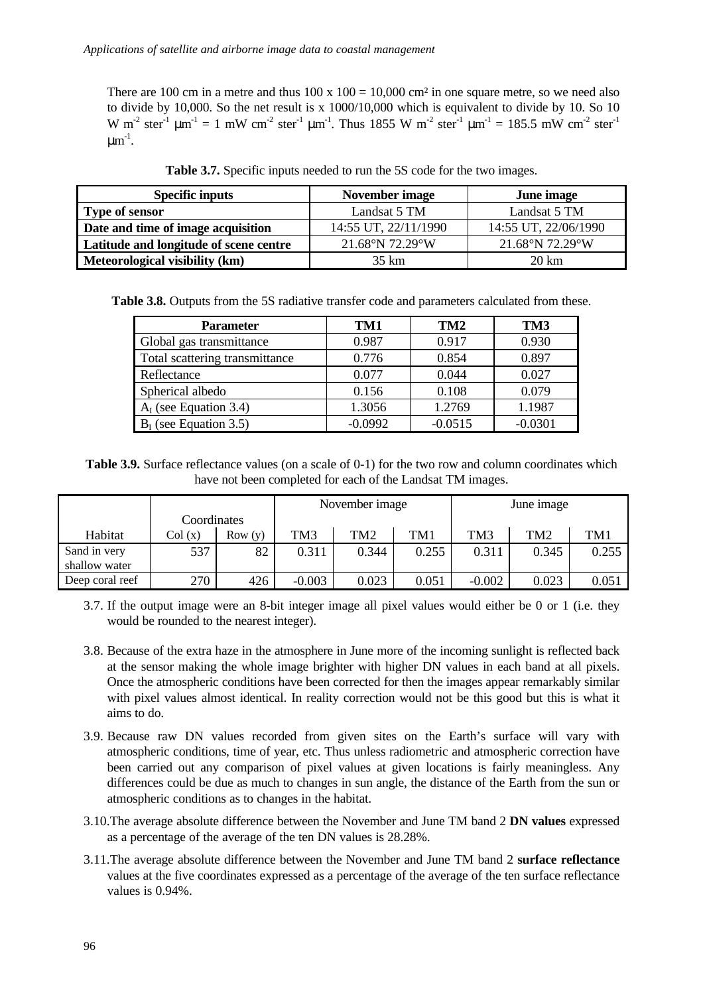There are 100 cm in a metre and thus  $100 \times 100 = 10,000$  cm<sup>2</sup> in one square metre, so we need also to divide by 10,000. So the net result is x 1000/10,000 which is equivalent to divide by 10. So 10 W m<sup>-2</sup> ster<sup>-1</sup>  $\mu$ m<sup>-1</sup> = 1 mW cm<sup>-2</sup> ster<sup>-1</sup>  $\mu$ m<sup>-1</sup>. Thus 1855 W m<sup>-2</sup> ster<sup>-1</sup>  $\mu$ m<sup>-1</sup> = 185.5 mW cm<sup>-2</sup> ster<sup>-1</sup>  $\mu$ m $^{-1}$ .

| <b>Specific inputs</b>                 | November image       | June image           |  |  |
|----------------------------------------|----------------------|----------------------|--|--|
| <b>Type of sensor</b>                  | Landsat 5 TM         | Landsat 5 TM         |  |  |
| Date and time of image acquisition     | 14:55 UT, 22/11/1990 | 14:55 UT, 22/06/1990 |  |  |
| Latitude and longitude of scene centre | 21.68°N 72.29°W      | 21.68°N 72.29°W      |  |  |
| Meteorological visibility (km)         | 35 km                | 20 km                |  |  |

**Table 3.7.** Specific inputs needed to run the 5S code for the two images.

**Table 3.8.** Outputs from the 5S radiative transfer code and parameters calculated from these.

| <b>Parameter</b>               | TM1       | TM <sub>2</sub> | TM3       |  |
|--------------------------------|-----------|-----------------|-----------|--|
| Global gas transmittance       | 0.987     | 0.917           | 0.930     |  |
| Total scattering transmittance | 0.776     | 0.854           | 0.897     |  |
| Reflectance                    | 0.077     | 0.044           | 0.027     |  |
| Spherical albedo               | 0.156     | 0.108           | 0.079     |  |
| $AI$ (see Equation 3.4)        | 1.3056    | 1.2769          | 1.1987    |  |
| $BI$ (see Equation 3.5)        | $-0.0992$ | $-0.0515$       | $-0.0301$ |  |

**Table 3.9.** Surface reflectance values (on a scale of 0-1) for the two row and column coordinates which have not been completed for each of the Landsat TM images.

|                 |             |         | November image |       | June image |          |       |       |
|-----------------|-------------|---------|----------------|-------|------------|----------|-------|-------|
|                 | Coordinates |         |                |       |            |          |       |       |
| Habitat         | Col(x)      | Row (v) | TM3            | TM2   | TM1        | TM3      | TM2   | TM1   |
| Sand in very    | 537         | 82      | 0.311          | 0.344 | 0.255      | 0.311    | 0.345 | 0.255 |
| shallow water   |             |         |                |       |            |          |       |       |
| Deep coral reef | 270         | 426     | $-0.003$       | 0.023 | 0.051      | $-0.002$ | 0.023 | 0.051 |

- 3.7. If the output image were an 8-bit integer image all pixel values would either be 0 or 1 (i.e. they would be rounded to the nearest integer).
- 3.8. Because of the extra haze in the atmosphere in June more of the incoming sunlight is reflected back at the sensor making the whole image brighter with higher DN values in each band at all pixels. Once the atmospheric conditions have been corrected for then the images appear remarkably similar with pixel values almost identical. In reality correction would not be this good but this is what it aims to do.
- 3.9. Because raw DN values recorded from given sites on the Earth's surface will vary with atmospheric conditions, time of year, etc. Thus unless radiometric and atmospheric correction have been carried out any comparison of pixel values at given locations is fairly meaningless. Any differences could be due as much to changes in sun angle, the distance of the Earth from the sun or atmospheric conditions as to changes in the habitat.
- 3.10.The average absolute difference between the November and June TM band 2 **DN values** expressed as a percentage of the average of the ten DN values is 28.28%.
- 3.11.The average absolute difference between the November and June TM band 2 **surface reflectance** values at the five coordinates expressed as a percentage of the average of the ten surface reflectance values is 0.94%.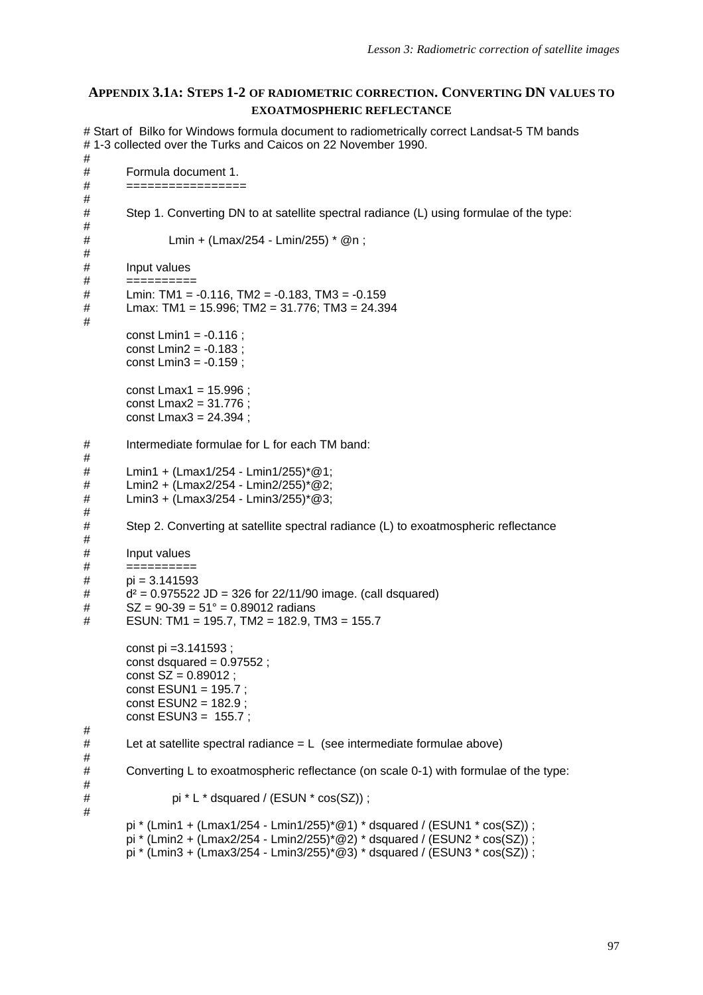# **APPENDIX 3.1A: STEPS 1-2 OF RADIOMETRIC CORRECTION. CONVERTING DN VALUES TO EXOATMOSPHERIC REFLECTANCE**

# Start of Bilko for Windows formula document to radiometrically correct Landsat-5 TM bands # 1-3 collected over the Turks and Caicos on 22 November 1990. # # Formula document 1. # ================= # # Step 1. Converting DN to at satellite spectral radiance (L) using formulae of the type: # # Lmin + (Lmax/254 - Lmin/255) \* @n ; # Input values # ==========  $\#$  Lmin: TM1 = -0.116, TM2 = -0.183, TM3 = -0.159 # Lmax: TM1 = 15.996; TM2 = 31.776; TM3 = 24.394 # const Lmin1 =  $-0.116$  : const Lmin2 = -0.183 ; const Lmin3 = -0.159 ; const Lmax1 = 15.996 ; const Lmax2 = 31.776 ; const Lmax3 = 24.394 ; # Intermediate formulae for L for each TM band: # # Lmin1 + (Lmax1/254 - Lmin1/255)\*@1; # Lmin2 + (Lmax2/254 - Lmin2/255)\*@2; # Lmin3 + (Lmax3/254 - Lmin3/255)\*@3; # Step 2. Converting at satellite spectral radiance (L) to exoatmospheric reflectance # # Input values # ==========  $#$  pi = 3.141593  $\frac{d^2}{dt}$  = 0.975522 JD = 326 for 22/11/90 image. (call dsquared)  $\text{#}$  SZ = 90-39 = 51° = 0.89012 radians # ESUN: TM1 = 195.7, TM2 = 182.9, TM3 = 155.7 const pi =3.141593 ; const dsquared  $= 0.97552$  ; const  $SZ = 0.89012$ ; const ESUN1 = 195.7 ; const ESUN2 = 182.9 ; const ESUN3 = 155.7 ; #  $#$  Let at satellite spectral radiance = L (see intermediate formulae above) # # Converting L to exoatmospheric reflectance (on scale 0-1) with formulae of the type: #  $\#$  pi \* L \* dsquared / (ESUN \* cos(SZ)); # pi \* (Lmin1 + (Lmax1/254 - Lmin1/255)\*@1) \* dsquared / (ESUN1 \* cos(SZ)) ; pi \* (Lmin2 + (Lmax2/254 - Lmin2/255)\*@2) \* dsquared / (ESUN2 \* cos(SZ)) ; pi \* (Lmin3 + (Lmax3/254 - Lmin3/255)\*@3) \* dsquared / (ESUN3 \* cos(SZ)) ;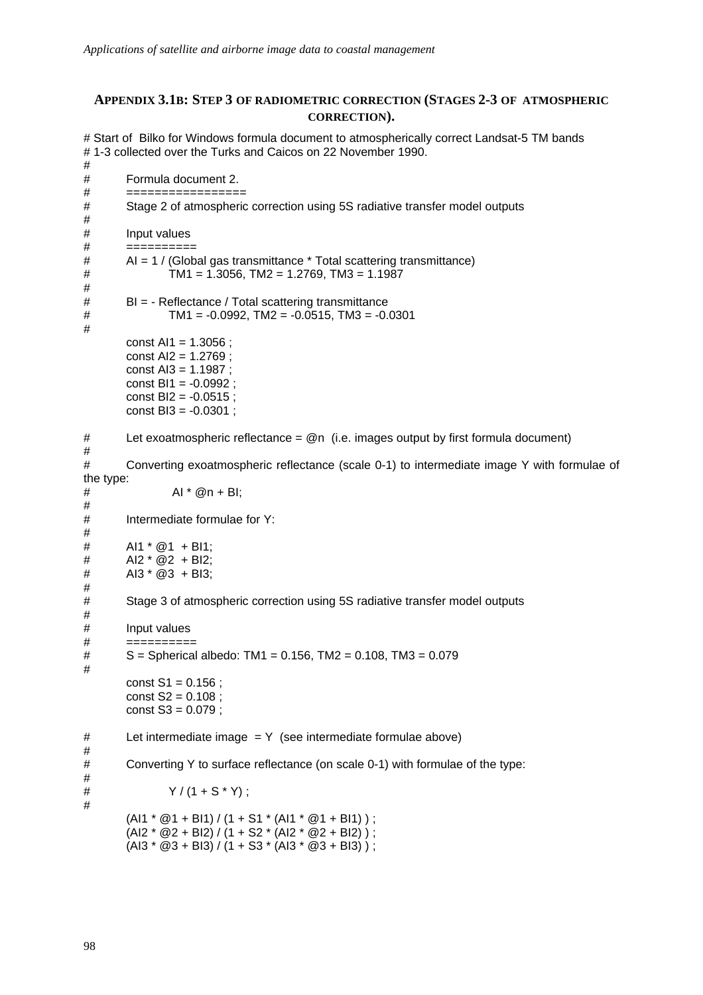# **APPENDIX 3.1B: STEP 3 OF RADIOMETRIC CORRECTION (STAGES 2-3 OF ATMOSPHERIC CORRECTION).**

# Start of Bilko for Windows formula document to atmospherically correct Landsat-5 TM bands # 1-3 collected over the Turks and Caicos on 22 November 1990.

# # Formula document 2. # ================= # Stage 2 of atmospheric correction using 5S radiative transfer model outputs # # Input values # ========== # AI = 1 / (Global gas transmittance \* Total scattering transmittance)  $\#$  TM1 = 1.3056, TM2 = 1.2769, TM3 = 1.1987 # # BI = - Reflectance / Total scattering transmittance  $\#$  TM1 = -0.0992, TM2 = -0.0515, TM3 = -0.0301 # const Al1 =  $1.3056$  ; const AI2 = 1.2769 ; const AI3 = 1.1987 ; const BI1 = -0.0992 ; const  $B12 = -0.0515$ ; const BI3 = -0.0301 ; # Let exoatmospheric reflectance = @n (i.e. images output by first formula document) # # Converting exoatmospheric reflectance (scale 0-1) to intermediate image Y with formulae of the type:  $#$  AI \* @n + BI; # # Intermediate formulae for Y: #  $#$  Al1 \* @1 + Bl1;  $#$  AI2 \* @2 + BI2;  $#$  AI3  $*$  @3 + BI3: # # Stage 3 of atmospheric correction using 5S radiative transfer model outputs # Input values # ========== # S = Spherical albedo: TM1 = 0.156, TM2 = 0.108, TM3 = 0.079 # const  $S1 = 0.156$  ; const  $S2 = 0.108$ ; const S3 = 0.079 ; # Let intermediate image = Y (see intermediate formulae above) # # Converting Y to surface reflectance (on scale 0-1) with formulae of the type: # #  $Y / (1 + S^* Y)$  ; #  $(A11 * @1 + B11) / (1 + S1 * (A11 * @1 + B11))$ ;  $(A12 * @2 + B12) / (1 + S2 * (A12 * @2 + B12))$ ;  $(A13 * @3 + B13) / (1 + S3 * (A13 * @3 + B13))$ ;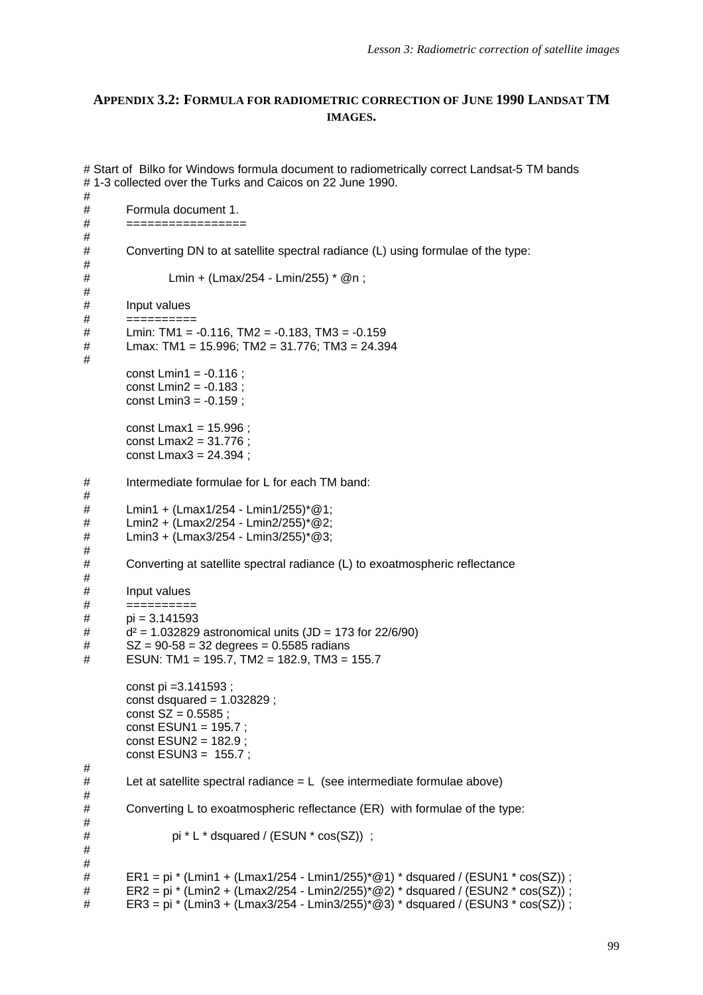# **APPENDIX 3.2: FORMULA FOR RADIOMETRIC CORRECTION OF JUNE 1990 LANDSAT TM IMAGES.**

```
# Start of Bilko for Windows formula document to radiometrically correct Landsat-5 TM bands
# 1-3 collected over the Turks and Caicos on 22 June 1990.
#
# Formula document 1.
# =================
#
# Converting DN to at satellite spectral radiance (L) using formulae of the type:
#
# Lmin + (Lmax/254 - Lmin/255) * @n ;
#
# Input values
# ==========
\# Lmin: TM1 = -0.116, TM2 = -0.183, TM3 = -0.159
# Lmax: TM1 = 15.996; TM2 = 31.776; TM3 = 24.394
#
       const Lmin1 = -0.116 ;
       const Lmin2 = -0.183 ;
       const Lmin3 = -0.159 ;
       const Lmax1 = 15.996 ;
       const Lmax2 = 31.776 ;
       const Lmax3 = 24.394 ;
# Intermediate formulae for L for each TM band:
#
       Lmin1 + (Lmax1/254 - Lmin1/255)*@1;
# Lmin2 + (Lmax2/254 - Lmin2/255)*@2;
# Lmin3 + (Lmax3/254 - Lmin3/255)*@3;
#
# Converting at satellite spectral radiance (L) to exoatmospheric reflectance
#
# Input values
# ==========
# pi = 3.141593
\mu d<sup>2</sup> = 1.032829 astronomical units (JD = 173 for 22/6/90)
# SZ = 90-58 = 32 degrees = 0.5585 radians
\# ESUN: TM1 = 195.7, TM2 = 182.9, TM3 = 155.7
       const pi =3.141593 ;
       const dsquared = 1.032829 ;
       const SZ = 0.5585;
       const ESUN1 = 195.7 ;
       const ESUN2 = 182.9 ;
       const ESUN3 = 155.7 ;
#
# Let at satellite spectral radiance = L (see intermediate formulae above)
#
# Converting L to exoatmospheric reflectance (ER) with formulae of the type:
#
# pi * L * dsquared / (ESUN * cos(SZ)) ;
#
#
# ER1 = pi * (Lmin1 + (Lmax1/254 - Lmin1/255)*@1) * dsquared / (ESUN1 * cos(SZ)) ;
# ER2 = pi * (Lmin2 + (Lmax2/254 - Lmin2/255)*@2) * dsquared / (ESUN2 * cos(SZ)) ;\# ER3 = pi * (Lmin3 + (Lmax3/254 - Lmin3/255)*@3) * dsquared / (ESUN3 * cos(SZ)) ;
```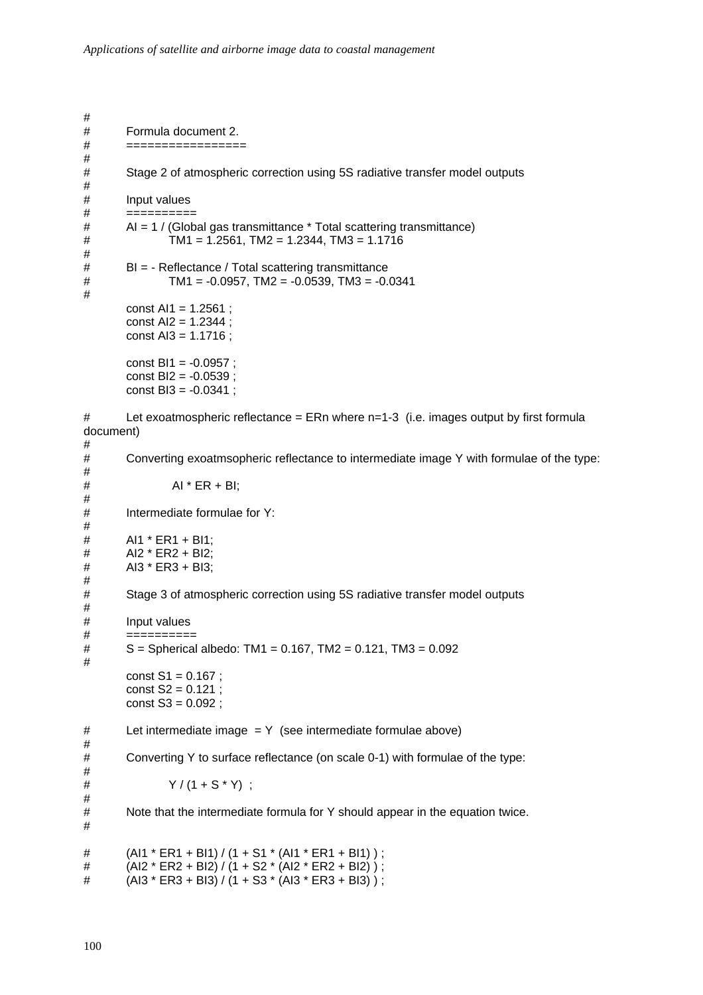# # Formula document 2. # ================= # # Stage 2 of atmospheric correction using 5S radiative transfer model outputs # # Input values # ========== # AI = 1 / (Global gas transmittance \* Total scattering transmittance)  $\text{HM1} = 1.2561$ ,  $\text{TM2} = 1.2344$ ,  $\text{TM3} = 1.1716$ # # BI = - Reflectance / Total scattering transmittance  $\#$  TM1 = -0.0957, TM2 = -0.0539, TM3 = -0.0341 # const  $Al1 = 1.2561$ : const AI2 = 1.2344 ; const AI3 = 1.1716 ; const BI1 = -0.0957 ; const BI2 = -0.0539 ; const BI3 = -0.0341 ;  $\#$  Let exoatmospheric reflectance = ERn where n=1-3 (i.e. images output by first formula document) # Converting exoatmsopheric reflectance to intermediate image Y with formulae of the type: #  $#$  AI \* ER + BI; # Intermediate formulae for  $Y$ : # # AI1 \* ER1 + BI1; # AI2 \* ER2 + BI2; # AI3 \* ER3 + BI3; # # Stage 3 of atmospheric correction using 5S radiative transfer model outputs # # Input values # ==========  $\#$  S = Spherical albedo: TM1 = 0.167, TM2 = 0.121, TM3 = 0.092 # const  $S1 = 0.167$ ; const  $S2 = 0.121$ const  $S3 = 0.092$ :  $#$  Let intermediate image = Y (see intermediate formulae above) # Converting Y to surface reflectance (on scale 0-1) with formulae of the type: #  $# \quad Y / (1 + S^* Y)$  ; # # Note that the intermediate formula for Y should appear in the equation twice. #  $\#$  (AI1 \* ER1 + BI1) / (1 + S1 \* (AI1 \* ER1 + BI1) ); #  $(AI2 * ER2 + BI2) / (1 + S2 * (AI2 * ER2 + BI2))$ ; #  $(A13 * ER3 + B13) / (1 + S3 * (A13 * ER3 + B13))$ ;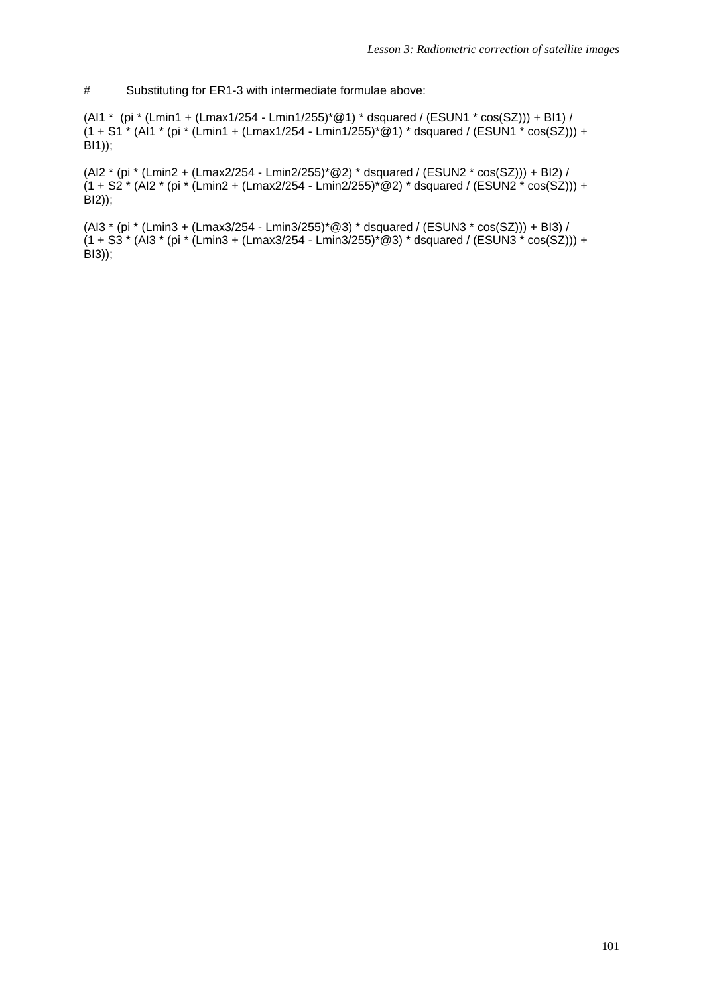# Substituting for ER1-3 with intermediate formulae above:

(AI1 \* (pi \* (Lmin1 + (Lmax1/254 - Lmin1/255)\*@1) \* dsquared / (ESUN1 \* cos(SZ))) + BI1) /  $(1 + S1^*$  (Al1 \* (pi \* (Lmin1 + (Lmax1/254 - Lmin1/255)\*@1) \* dsquared / (ESUN1 \* cos(SZ))) +  $\overline{B(1)}$ ;

(AI2 \* (pi \* (Lmin2 + (Lmax2/254 - Lmin2/255)\*@2) \* dsquared / (ESUN2 \* cos(SZ))) + BI2) /  $(1 + S2 * (A12 * (pi * (Lmin2 + (Lmax2/254 - Lmin2/255) * @2) * dsquare d / (ESUN2 * cos(SZ))) +$ BI2));

(AI3 \* (pi \* (Lmin3 + (Lmax3/254 - Lmin3/255)\*@3) \* dsquared / (ESUN3 \* cos(SZ))) + BI3) /  $(1 + S3 * (A)3 * (pi * (Lmin3 + (Lmax3/254 - Lmin3/255) * @3) * dsquare d / (ESUN3 * cos(SZ))) +$  $\angle$ BI3));